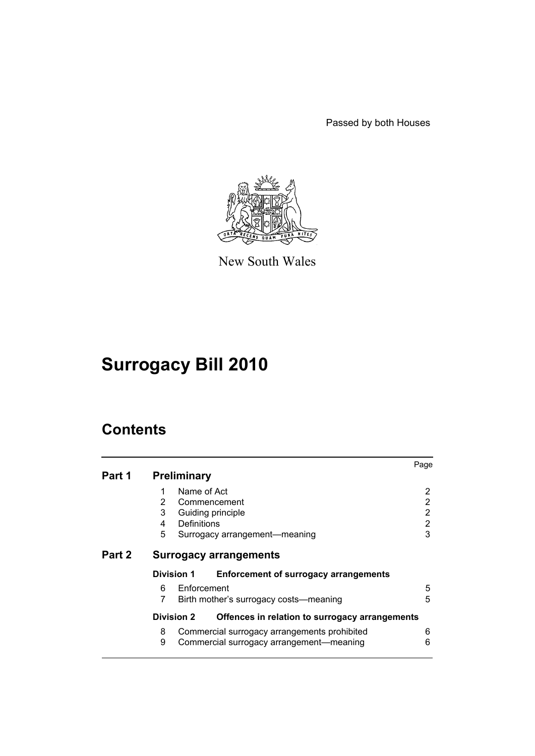Passed by both Houses



New South Wales

# **Surrogacy Bill 2010**

# **Contents**

|                                                                     | Page                                         |  |
|---------------------------------------------------------------------|----------------------------------------------|--|
| Part 1<br><b>Preliminary</b>                                        |                                              |  |
| Name of Act<br>1                                                    | 2                                            |  |
| $\overline{2}$<br>Commencement                                      | 2                                            |  |
| 3<br>Guiding principle                                              | 2                                            |  |
| <b>Definitions</b><br>4                                             | 2                                            |  |
| 5<br>Surrogacy arrangement—meaning                                  | 3                                            |  |
| Part 2<br><b>Surrogacy arrangements</b>                             |                                              |  |
| Division 1<br><b>Enforcement of surrogacy arrangements</b>          |                                              |  |
| Enforcement<br>6                                                    | 5                                            |  |
| 7<br>Birth mother's surrogacy costs—meaning                         | 5                                            |  |
| <b>Division 2</b><br>Offences in relation to surrogacy arrangements |                                              |  |
| 8                                                                   | 6                                            |  |
| Commercial surrogacy arrangement-meaning<br>9                       | 6                                            |  |
|                                                                     | Commercial surrogacy arrangements prohibited |  |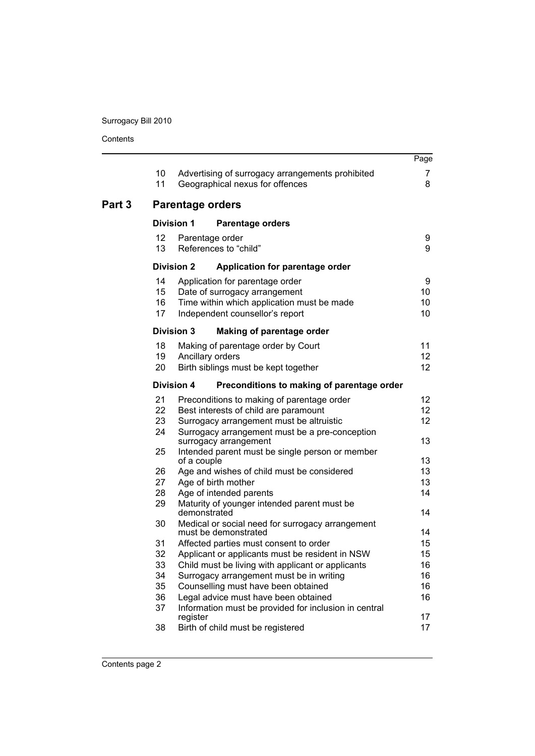Contents

|        |                      |                                              |                                                                                                                                                   | Page                                     |  |  |
|--------|----------------------|----------------------------------------------|---------------------------------------------------------------------------------------------------------------------------------------------------|------------------------------------------|--|--|
|        | 10<br>11             |                                              | Advertising of surrogacy arrangements prohibited<br>Geographical nexus for offences                                                               | 7<br>8                                   |  |  |
| Part 3 |                      | <b>Parentage orders</b>                      |                                                                                                                                                   |                                          |  |  |
|        |                      | <b>Division 1</b><br><b>Parentage orders</b> |                                                                                                                                                   |                                          |  |  |
|        | 12<br>13             |                                              | Parentage order<br>References to "child"                                                                                                          | 9<br>9                                   |  |  |
|        |                      | <b>Division 2</b>                            | Application for parentage order                                                                                                                   |                                          |  |  |
|        | 14<br>15<br>16<br>17 |                                              | Application for parentage order<br>Date of surrogacy arrangement<br>Time within which application must be made<br>Independent counsellor's report | 9<br>10<br>10<br>10                      |  |  |
|        |                      | <b>Division 3</b>                            | Making of parentage order                                                                                                                         |                                          |  |  |
|        | 18<br>19<br>20       |                                              | Making of parentage order by Court<br>Ancillary orders<br>Birth siblings must be kept together                                                    | 11<br>12 <sub>2</sub><br>12 <sub>2</sub> |  |  |
|        |                      | <b>Division 4</b>                            | Preconditions to making of parentage order                                                                                                        |                                          |  |  |
|        | 21                   |                                              | Preconditions to making of parentage order                                                                                                        | 12                                       |  |  |
|        | 22                   |                                              | Best interests of child are paramount                                                                                                             | 12 <sub>2</sub>                          |  |  |
|        | 23                   |                                              | Surrogacy arrangement must be altruistic                                                                                                          | 12                                       |  |  |
|        | 24                   |                                              | Surrogacy arrangement must be a pre-conception<br>surrogacy arrangement                                                                           | 13                                       |  |  |
|        | 25                   | of a couple                                  | Intended parent must be single person or member                                                                                                   | 13                                       |  |  |
|        | 26                   |                                              | Age and wishes of child must be considered                                                                                                        | 13                                       |  |  |
|        | 27                   |                                              | Age of birth mother                                                                                                                               | 13                                       |  |  |
|        | 28                   |                                              | Age of intended parents                                                                                                                           | 14                                       |  |  |
|        | 29                   | demonstrated                                 | Maturity of younger intended parent must be                                                                                                       | 14                                       |  |  |
|        | 30                   |                                              | Medical or social need for surrogacy arrangement<br>must be demonstrated                                                                          | 14                                       |  |  |
|        | 31                   |                                              | Affected parties must consent to order                                                                                                            | 15                                       |  |  |
|        | 32                   |                                              | Applicant or applicants must be resident in NSW                                                                                                   | 15                                       |  |  |
|        | 33                   |                                              | Child must be living with applicant or applicants                                                                                                 | 16                                       |  |  |
|        | 34                   |                                              | Surrogacy arrangement must be in writing                                                                                                          | 16                                       |  |  |
|        | 35                   |                                              | Counselling must have been obtained                                                                                                               | 16                                       |  |  |
|        | 36<br>37             |                                              | Legal advice must have been obtained<br>Information must be provided for inclusion in central                                                     | 16                                       |  |  |
|        | 38                   | register                                     | Birth of child must be registered                                                                                                                 | 17<br>17                                 |  |  |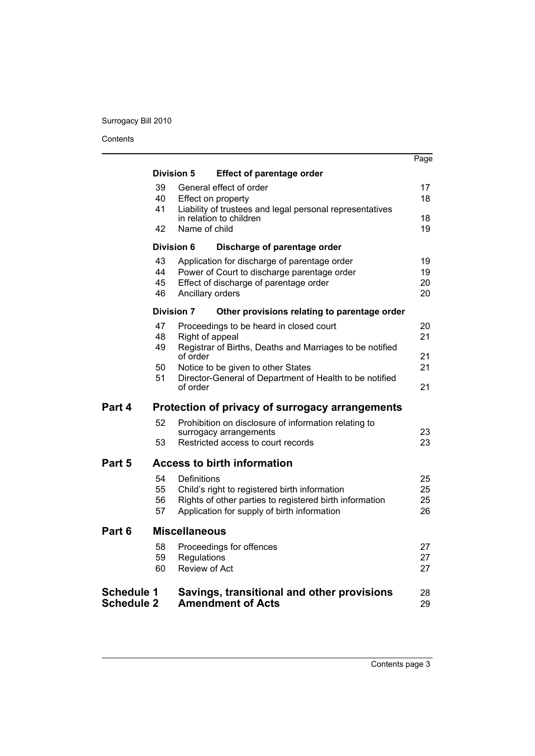Contents

|                                        |                                                   |                                               |                                                                                                                                                         | Page                 |  |  |
|----------------------------------------|---------------------------------------------------|-----------------------------------------------|---------------------------------------------------------------------------------------------------------------------------------------------------------|----------------------|--|--|
|                                        |                                                   | <b>Division 5</b>                             | <b>Effect of parentage order</b>                                                                                                                        |                      |  |  |
|                                        | 39<br>40                                          | General effect of order<br>Effect on property |                                                                                                                                                         |                      |  |  |
|                                        | 41<br>42                                          | Name of child                                 | Liability of trustees and legal personal representatives<br>in relation to children                                                                     | 18<br>19             |  |  |
|                                        | <b>Division 6</b><br>Discharge of parentage order |                                               |                                                                                                                                                         |                      |  |  |
|                                        | 43<br>44<br>45<br>46                              | Ancillary orders                              | Application for discharge of parentage order<br>Power of Court to discharge parentage order<br>Effect of discharge of parentage order                   | 19<br>19<br>20<br>20 |  |  |
|                                        |                                                   | <b>Division 7</b>                             | Other provisions relating to parentage order                                                                                                            |                      |  |  |
|                                        | 47<br>48                                          | Right of appeal                               | Proceedings to be heard in closed court                                                                                                                 | 20<br>21             |  |  |
|                                        | 49                                                | of order                                      | Registrar of Births, Deaths and Marriages to be notified                                                                                                | 21                   |  |  |
|                                        | 50<br>51                                          | of order                                      | Notice to be given to other States<br>Director-General of Department of Health to be notified                                                           | 21<br>21             |  |  |
| Part 4                                 | Protection of privacy of surrogacy arrangements   |                                               |                                                                                                                                                         |                      |  |  |
|                                        | 52<br>53                                          |                                               | Prohibition on disclosure of information relating to<br>surrogacy arrangements<br>Restricted access to court records                                    | 23<br>23             |  |  |
| Part 5                                 |                                                   |                                               | <b>Access to birth information</b>                                                                                                                      |                      |  |  |
|                                        | 54<br>55<br>56<br>57                              | Definitions                                   | Child's right to registered birth information<br>Rights of other parties to registered birth information<br>Application for supply of birth information | 25<br>25<br>25<br>26 |  |  |
| Part 6                                 | <b>Miscellaneous</b>                              |                                               |                                                                                                                                                         |                      |  |  |
|                                        | 58<br>59<br>60                                    | Regulations<br><b>Review of Act</b>           | Proceedings for offences                                                                                                                                | 27<br>27<br>27       |  |  |
| <b>Schedule 1</b><br><b>Schedule 2</b> |                                                   |                                               | Savings, transitional and other provisions<br><b>Amendment of Acts</b>                                                                                  | 28<br>29             |  |  |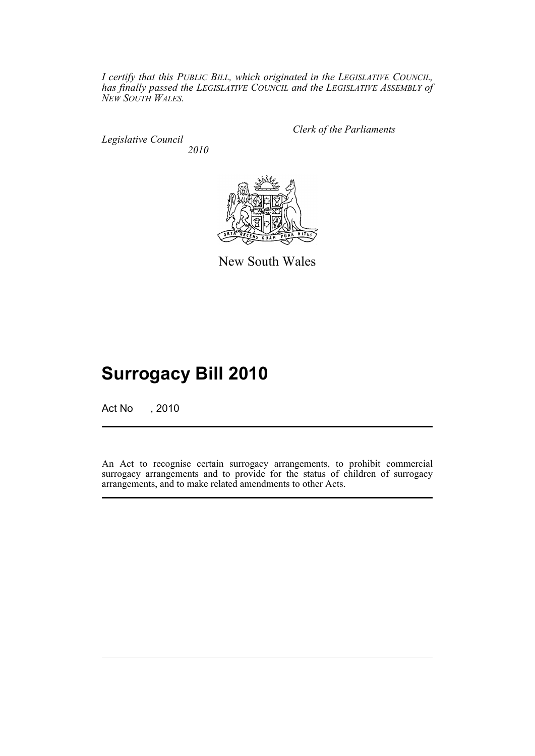*I certify that this PUBLIC BILL, which originated in the LEGISLATIVE COUNCIL, has finally passed the LEGISLATIVE COUNCIL and the LEGISLATIVE ASSEMBLY of NEW SOUTH WALES.*

*Legislative Council 2010* *Clerk of the Parliaments*



New South Wales

# **Surrogacy Bill 2010**

Act No , 2010

An Act to recognise certain surrogacy arrangements, to prohibit commercial surrogacy arrangements and to provide for the status of children of surrogacy arrangements, and to make related amendments to other Acts.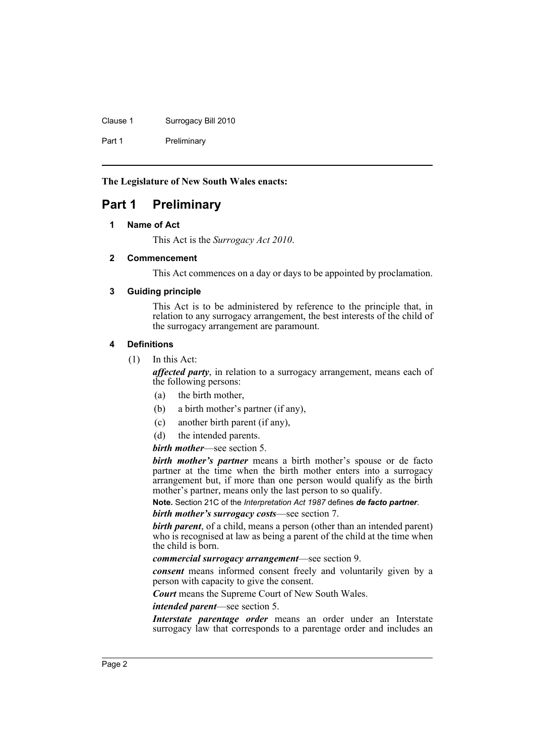Clause 1 Surrogacy Bill 2010

Part 1 Preliminary

**The Legislature of New South Wales enacts:**

# <span id="page-5-1"></span><span id="page-5-0"></span>**Part 1 Preliminary**

# **1 Name of Act**

This Act is the *Surrogacy Act 2010*.

# <span id="page-5-2"></span>**2 Commencement**

This Act commences on a day or days to be appointed by proclamation.

# <span id="page-5-3"></span>**3 Guiding principle**

This Act is to be administered by reference to the principle that, in relation to any surrogacy arrangement, the best interests of the child of the surrogacy arrangement are paramount.

# <span id="page-5-4"></span>**4 Definitions**

(1) In this Act:

*affected party*, in relation to a surrogacy arrangement, means each of the following persons:

- (a) the birth mother,
- (b) a birth mother's partner (if any),
- (c) another birth parent (if any),
- (d) the intended parents.

#### *birth mother*—see section 5.

*birth mother's partner* means a birth mother's spouse or de facto partner at the time when the birth mother enters into a surrogacy arrangement but, if more than one person would qualify as the birth mother's partner, means only the last person to so qualify.

**Note.** Section 21C of the *Interpretation Act 1987* defines *de facto partner*.

*birth mother's surrogacy costs*—see section 7.

*birth parent*, of a child, means a person (other than an intended parent) who is recognised at law as being a parent of the child at the time when the child is born.

*commercial surrogacy arrangement*—see section 9.

*consent* means informed consent freely and voluntarily given by a person with capacity to give the consent.

*Court* means the Supreme Court of New South Wales.

*intended parent*—see section 5.

*Interstate parentage order* means an order under an Interstate surrogacy law that corresponds to a parentage order and includes an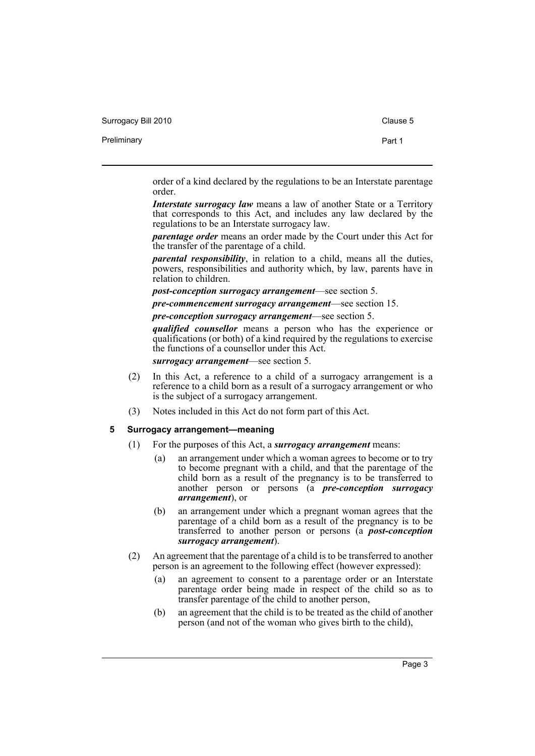Surrogacy Bill 2010 Clause 5

Preliminary **Preliminary** Part 1

order of a kind declared by the regulations to be an Interstate parentage order.

*Interstate surrogacy law means a law of another State or a Territory* that corresponds to this Act, and includes any law declared by the regulations to be an Interstate surrogacy law.

*parentage order* means an order made by the Court under this Act for the transfer of the parentage of a child.

*parental responsibility*, in relation to a child, means all the duties, powers, responsibilities and authority which, by law, parents have in relation to children.

*post-conception surrogacy arrangement*—see section 5.

*pre-commencement surrogacy arrangement*—see section 15.

*pre-conception surrogacy arrangement*—see section 5.

*qualified counsellor* means a person who has the experience or qualifications (or both) of a kind required by the regulations to exercise the functions of a counsellor under this Act.

*surrogacy arrangement*—see section 5.

- (2) In this Act, a reference to a child of a surrogacy arrangement is a reference to a child born as a result of a surrogacy arrangement or who is the subject of a surrogacy arrangement.
- (3) Notes included in this Act do not form part of this Act.

#### <span id="page-6-0"></span>**5 Surrogacy arrangement—meaning**

- (1) For the purposes of this Act, a *surrogacy arrangement* means:
	- (a) an arrangement under which a woman agrees to become or to try to become pregnant with a child, and that the parentage of the child born as a result of the pregnancy is to be transferred to another person or persons (a *pre-conception surrogacy arrangement*), or
	- (b) an arrangement under which a pregnant woman agrees that the parentage of a child born as a result of the pregnancy is to be transferred to another person or persons (a *post-conception surrogacy arrangement*).
- (2) An agreement that the parentage of a child is to be transferred to another person is an agreement to the following effect (however expressed):
	- (a) an agreement to consent to a parentage order or an Interstate parentage order being made in respect of the child so as to transfer parentage of the child to another person,
	- (b) an agreement that the child is to be treated as the child of another person (and not of the woman who gives birth to the child),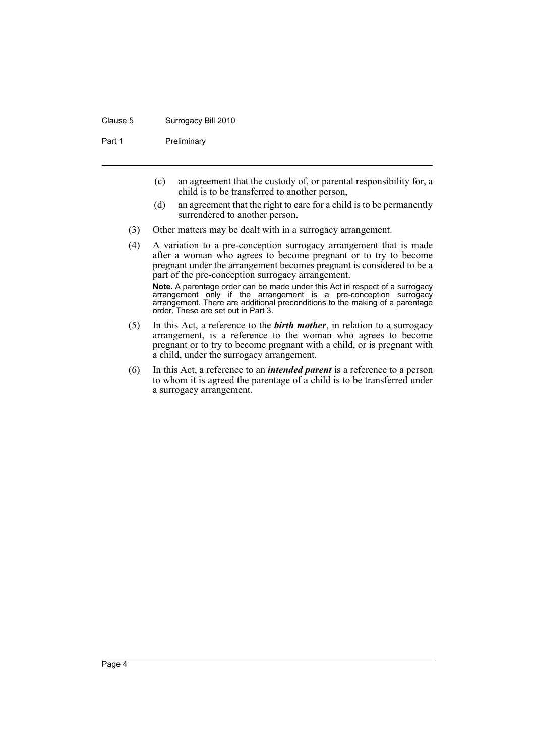#### Clause 5 Surrogacy Bill 2010

Part 1 Preliminary

- (c) an agreement that the custody of, or parental responsibility for, a child is to be transferred to another person,
- (d) an agreement that the right to care for a child is to be permanently surrendered to another person.
- (3) Other matters may be dealt with in a surrogacy arrangement.
- (4) A variation to a pre-conception surrogacy arrangement that is made after a woman who agrees to become pregnant or to try to become pregnant under the arrangement becomes pregnant is considered to be a part of the pre-conception surrogacy arrangement. **Note.** A parentage order can be made under this Act in respect of a surrogacy arrangement only if the arrangement is a pre-conception surrogacy arrangement. There are additional preconditions to the making of a parentage order. These are set out in Part 3.
- (5) In this Act, a reference to the *birth mother*, in relation to a surrogacy arrangement, is a reference to the woman who agrees to become pregnant or to try to become pregnant with a child, or is pregnant with a child, under the surrogacy arrangement.
- (6) In this Act, a reference to an *intended parent* is a reference to a person to whom it is agreed the parentage of a child is to be transferred under a surrogacy arrangement.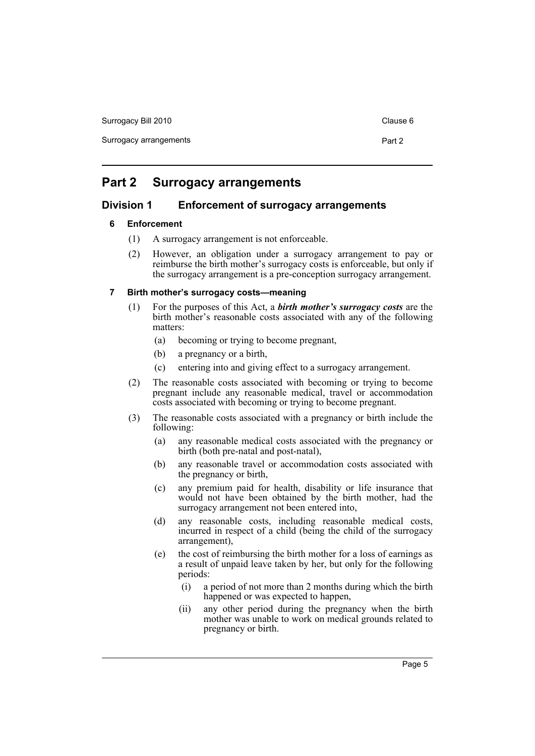Surrogacy Bill 2010 Clause 6

Surrogacy arrangements **Part 2** 

# <span id="page-8-0"></span>**Part 2 Surrogacy arrangements**

# <span id="page-8-2"></span><span id="page-8-1"></span>**Division 1 Enforcement of surrogacy arrangements**

# **6 Enforcement**

- (1) A surrogacy arrangement is not enforceable.
- (2) However, an obligation under a surrogacy arrangement to pay or reimburse the birth mother's surrogacy costs is enforceable, but only if the surrogacy arrangement is a pre-conception surrogacy arrangement.

# <span id="page-8-3"></span>**7 Birth mother's surrogacy costs—meaning**

- (1) For the purposes of this Act, a *birth mother's surrogacy costs* are the birth mother's reasonable costs associated with any of the following matters:
	- (a) becoming or trying to become pregnant,
	- (b) a pregnancy or a birth,
	- (c) entering into and giving effect to a surrogacy arrangement.
- (2) The reasonable costs associated with becoming or trying to become pregnant include any reasonable medical, travel or accommodation costs associated with becoming or trying to become pregnant.
- (3) The reasonable costs associated with a pregnancy or birth include the following:
	- (a) any reasonable medical costs associated with the pregnancy or birth (both pre-natal and post-natal),
	- (b) any reasonable travel or accommodation costs associated with the pregnancy or birth,
	- (c) any premium paid for health, disability or life insurance that would not have been obtained by the birth mother, had the surrogacy arrangement not been entered into,
	- (d) any reasonable costs, including reasonable medical costs, incurred in respect of a child (being the child of the surrogacy arrangement),
	- (e) the cost of reimbursing the birth mother for a loss of earnings as a result of unpaid leave taken by her, but only for the following periods:
		- (i) a period of not more than 2 months during which the birth happened or was expected to happen,
		- (ii) any other period during the pregnancy when the birth mother was unable to work on medical grounds related to pregnancy or birth.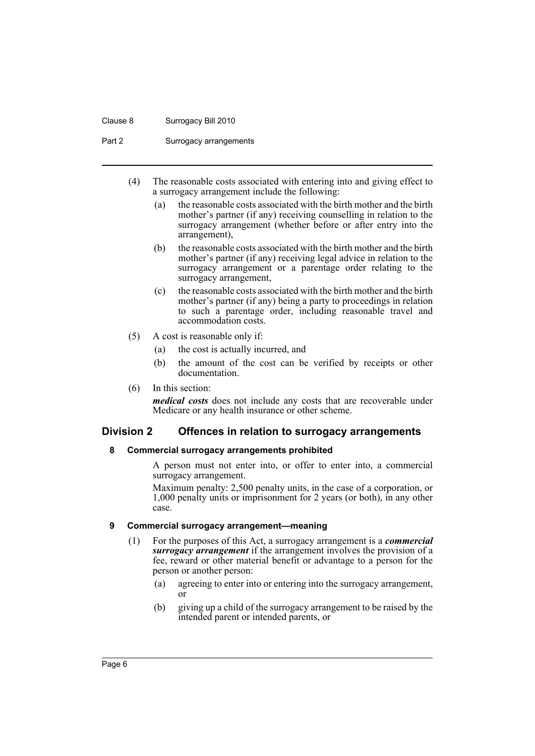#### Clause 8 Surrogacy Bill 2010

Part 2 Surrogacy arrangements

- (4) The reasonable costs associated with entering into and giving effect to a surrogacy arrangement include the following:
	- (a) the reasonable costs associated with the birth mother and the birth mother's partner (if any) receiving counselling in relation to the surrogacy arrangement (whether before or after entry into the arrangement),
	- (b) the reasonable costs associated with the birth mother and the birth mother's partner (if any) receiving legal advice in relation to the surrogacy arrangement or a parentage order relating to the surrogacy arrangement,
	- (c) the reasonable costs associated with the birth mother and the birth mother's partner (if any) being a party to proceedings in relation to such a parentage order, including reasonable travel and accommodation costs.
- (5) A cost is reasonable only if:
	- (a) the cost is actually incurred, and
	- (b) the amount of the cost can be verified by receipts or other documentation.
- (6) In this section:

*medical costs* does not include any costs that are recoverable under Medicare or any health insurance or other scheme.

# <span id="page-9-1"></span><span id="page-9-0"></span>**Division 2 Offences in relation to surrogacy arrangements**

#### **8 Commercial surrogacy arrangements prohibited**

A person must not enter into, or offer to enter into, a commercial surrogacy arrangement.

Maximum penalty: 2,500 penalty units, in the case of a corporation, or 1,000 penalty units or imprisonment for 2 years (or both), in any other case.

#### <span id="page-9-2"></span>**9 Commercial surrogacy arrangement—meaning**

- (1) For the purposes of this Act, a surrogacy arrangement is a *commercial surrogacy arrangement* if the arrangement involves the provision of a fee, reward or other material benefit or advantage to a person for the person or another person:
	- (a) agreeing to enter into or entering into the surrogacy arrangement, or
	- (b) giving up a child of the surrogacy arrangement to be raised by the intended parent or intended parents, or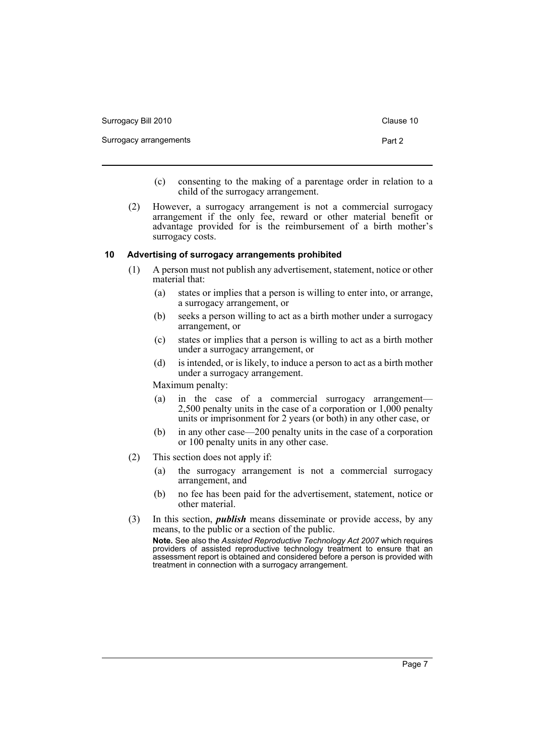| Surrogacy Bill 2010    | Clause 10 |
|------------------------|-----------|
| Surrogacy arrangements | Part 2    |

- (c) consenting to the making of a parentage order in relation to a child of the surrogacy arrangement.
- (2) However, a surrogacy arrangement is not a commercial surrogacy arrangement if the only fee, reward or other material benefit or advantage provided for is the reimbursement of a birth mother's surrogacy costs.

## <span id="page-10-0"></span>**10 Advertising of surrogacy arrangements prohibited**

- (1) A person must not publish any advertisement, statement, notice or other material that:
	- (a) states or implies that a person is willing to enter into, or arrange, a surrogacy arrangement, or
	- (b) seeks a person willing to act as a birth mother under a surrogacy arrangement, or
	- (c) states or implies that a person is willing to act as a birth mother under a surrogacy arrangement, or
	- (d) is intended, or is likely, to induce a person to act as a birth mother under a surrogacy arrangement.

Maximum penalty:

- (a) in the case of a commercial surrogacy arrangement— 2,500 penalty units in the case of a corporation or 1,000 penalty units or imprisonment for 2 years (or both) in any other case, or
- (b) in any other case—200 penalty units in the case of a corporation or 100 penalty units in any other case.
- (2) This section does not apply if:
	- (a) the surrogacy arrangement is not a commercial surrogacy arrangement, and
	- (b) no fee has been paid for the advertisement, statement, notice or other material.
- (3) In this section, *publish* means disseminate or provide access, by any means, to the public or a section of the public.

**Note.** See also the *Assisted Reproductive Technology Act 2007* which requires providers of assisted reproductive technology treatment to ensure that an assessment report is obtained and considered before a person is provided with treatment in connection with a surrogacy arrangement.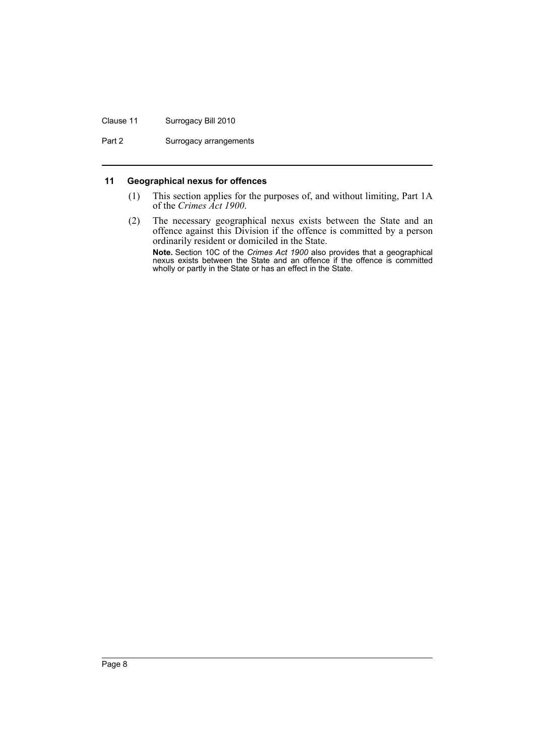### Clause 11 Surrogacy Bill 2010

Part 2 Surrogacy arrangements

# <span id="page-11-0"></span>**11 Geographical nexus for offences**

- (1) This section applies for the purposes of, and without limiting, Part 1A of the *Crimes Act 1900*.
- (2) The necessary geographical nexus exists between the State and an offence against this Division if the offence is committed by a person ordinarily resident or domiciled in the State. **Note.** Section 10C of the *Crimes Act 1900* also provides that a geographical nexus exists between the State and an offence if the offence is committed wholly or partly in the State or has an effect in the State.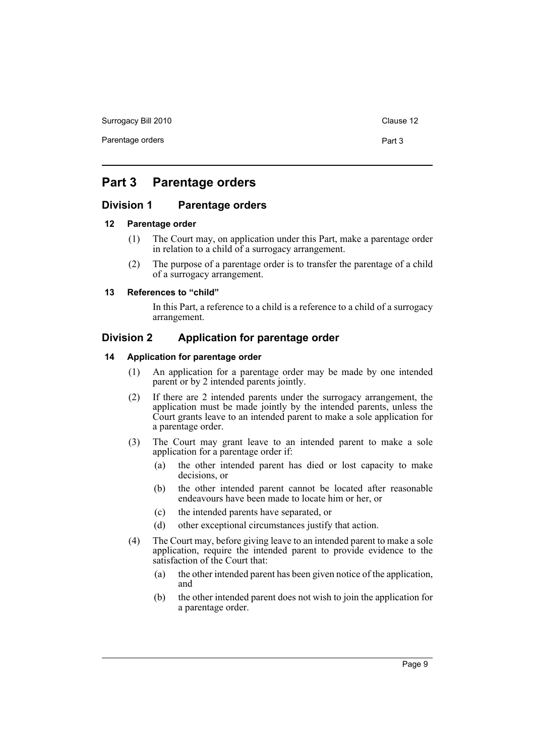Surrogacy Bill 2010 Clause 12

# <span id="page-12-0"></span>**Part 3 Parentage orders**

# <span id="page-12-1"></span>**Division 1 Parentage orders**

#### <span id="page-12-2"></span>**12 Parentage order**

- (1) The Court may, on application under this Part, make a parentage order in relation to a child of a surrogacy arrangement.
- (2) The purpose of a parentage order is to transfer the parentage of a child of a surrogacy arrangement.

#### <span id="page-12-3"></span>**13 References to "child"**

In this Part, a reference to a child is a reference to a child of a surrogacy arrangement.

# <span id="page-12-4"></span>**Division 2 Application for parentage order**

# <span id="page-12-5"></span>**14 Application for parentage order**

- (1) An application for a parentage order may be made by one intended parent or by 2 intended parents jointly.
- (2) If there are 2 intended parents under the surrogacy arrangement, the application must be made jointly by the intended parents, unless the Court grants leave to an intended parent to make a sole application for a parentage order.
- (3) The Court may grant leave to an intended parent to make a sole application for a parentage order if:
	- (a) the other intended parent has died or lost capacity to make decisions, or
	- (b) the other intended parent cannot be located after reasonable endeavours have been made to locate him or her, or
	- (c) the intended parents have separated, or
	- (d) other exceptional circumstances justify that action.
- (4) The Court may, before giving leave to an intended parent to make a sole application, require the intended parent to provide evidence to the satisfaction of the Court that:
	- (a) the other intended parent has been given notice of the application, and
	- (b) the other intended parent does not wish to join the application for a parentage order.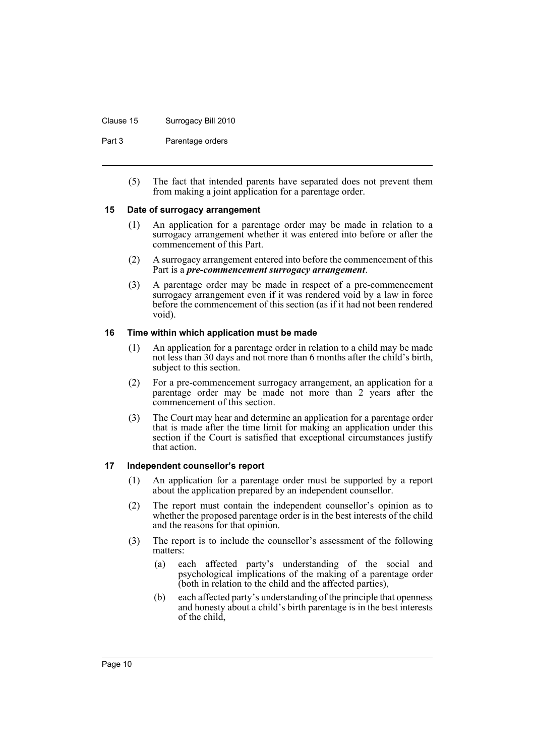#### Clause 15 Surrogacy Bill 2010

Part 3 **Parentage orders** 

(5) The fact that intended parents have separated does not prevent them from making a joint application for a parentage order.

#### <span id="page-13-0"></span>**15 Date of surrogacy arrangement**

- (1) An application for a parentage order may be made in relation to a surrogacy arrangement whether it was entered into before or after the commencement of this Part.
- (2) A surrogacy arrangement entered into before the commencement of this Part is a *pre-commencement surrogacy arrangement*.
- (3) A parentage order may be made in respect of a pre-commencement surrogacy arrangement even if it was rendered void by a law in force before the commencement of this section (as if it had not been rendered void).

# <span id="page-13-1"></span>**16 Time within which application must be made**

- (1) An application for a parentage order in relation to a child may be made not less than 30 days and not more than 6 months after the child's birth, subject to this section.
- (2) For a pre-commencement surrogacy arrangement, an application for a parentage order may be made not more than 2 years after the commencement of this section.
- (3) The Court may hear and determine an application for a parentage order that is made after the time limit for making an application under this section if the Court is satisfied that exceptional circumstances justify that action.

# <span id="page-13-2"></span>**17 Independent counsellor's report**

- (1) An application for a parentage order must be supported by a report about the application prepared by an independent counsellor.
- (2) The report must contain the independent counsellor's opinion as to whether the proposed parentage order is in the best interests of the child and the reasons for that opinion.
- (3) The report is to include the counsellor's assessment of the following matters:
	- (a) each affected party's understanding of the social and psychological implications of the making of a parentage order (both in relation to the child and the affected parties),
	- (b) each affected party's understanding of the principle that openness and honesty about a child's birth parentage is in the best interests of the child,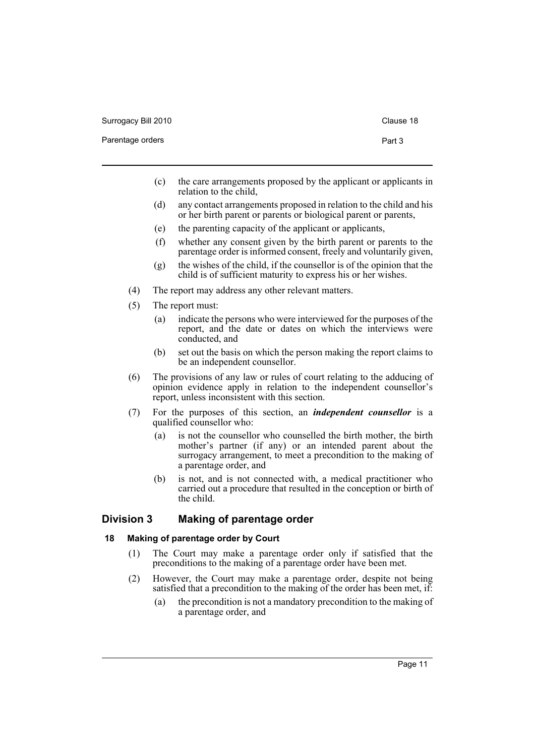Parentage orders **Part 3** 

- (c) the care arrangements proposed by the applicant or applicants in relation to the child,
- (d) any contact arrangements proposed in relation to the child and his or her birth parent or parents or biological parent or parents,
- (e) the parenting capacity of the applicant or applicants,
- (f) whether any consent given by the birth parent or parents to the parentage order is informed consent, freely and voluntarily given,
- (g) the wishes of the child, if the counsellor is of the opinion that the child is of sufficient maturity to express his or her wishes.
- (4) The report may address any other relevant matters.
- (5) The report must:
	- (a) indicate the persons who were interviewed for the purposes of the report, and the date or dates on which the interviews were conducted, and
	- (b) set out the basis on which the person making the report claims to be an independent counsellor.
- (6) The provisions of any law or rules of court relating to the adducing of opinion evidence apply in relation to the independent counsellor's report, unless inconsistent with this section.
- (7) For the purposes of this section, an *independent counsellor* is a qualified counsellor who:
	- (a) is not the counsellor who counselled the birth mother, the birth mother's partner (if any) or an intended parent about the surrogacy arrangement, to meet a precondition to the making of a parentage order, and
	- (b) is not, and is not connected with, a medical practitioner who carried out a procedure that resulted in the conception or birth of the child.

# <span id="page-14-0"></span>**Division 3 Making of parentage order**

# <span id="page-14-1"></span>**18 Making of parentage order by Court**

- (1) The Court may make a parentage order only if satisfied that the preconditions to the making of a parentage order have been met.
- (2) However, the Court may make a parentage order, despite not being satisfied that a precondition to the making of the order has been met, if:
	- (a) the precondition is not a mandatory precondition to the making of a parentage order, and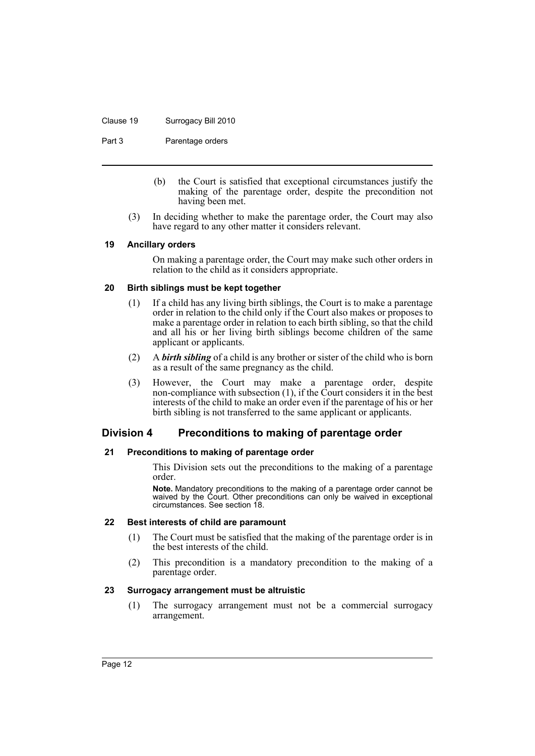#### Clause 19 Surrogacy Bill 2010

Part 3 **Parentage orders** 

- (b) the Court is satisfied that exceptional circumstances justify the making of the parentage order, despite the precondition not having been met.
- (3) In deciding whether to make the parentage order, the Court may also have regard to any other matter it considers relevant.

#### <span id="page-15-0"></span>**19 Ancillary orders**

On making a parentage order, the Court may make such other orders in relation to the child as it considers appropriate.

# <span id="page-15-1"></span>**20 Birth siblings must be kept together**

- (1) If a child has any living birth siblings, the Court is to make a parentage order in relation to the child only if the Court also makes or proposes to make a parentage order in relation to each birth sibling, so that the child and all his or her living birth siblings become children of the same applicant or applicants.
- (2) A *birth sibling* of a child is any brother or sister of the child who is born as a result of the same pregnancy as the child.
- (3) However, the Court may make a parentage order, despite non-compliance with subsection (1), if the Court considers it in the best interests of the child to make an order even if the parentage of his or her birth sibling is not transferred to the same applicant or applicants.

# <span id="page-15-2"></span>**Division 4 Preconditions to making of parentage order**

# <span id="page-15-3"></span>**21 Preconditions to making of parentage order**

This Division sets out the preconditions to the making of a parentage order.

**Note.** Mandatory preconditions to the making of a parentage order cannot be waived by the Court. Other preconditions can only be waived in exceptional circumstances. See section 18.

#### <span id="page-15-4"></span>**22 Best interests of child are paramount**

- (1) The Court must be satisfied that the making of the parentage order is in the best interests of the child.
- (2) This precondition is a mandatory precondition to the making of a parentage order.

#### <span id="page-15-5"></span>**23 Surrogacy arrangement must be altruistic**

(1) The surrogacy arrangement must not be a commercial surrogacy arrangement.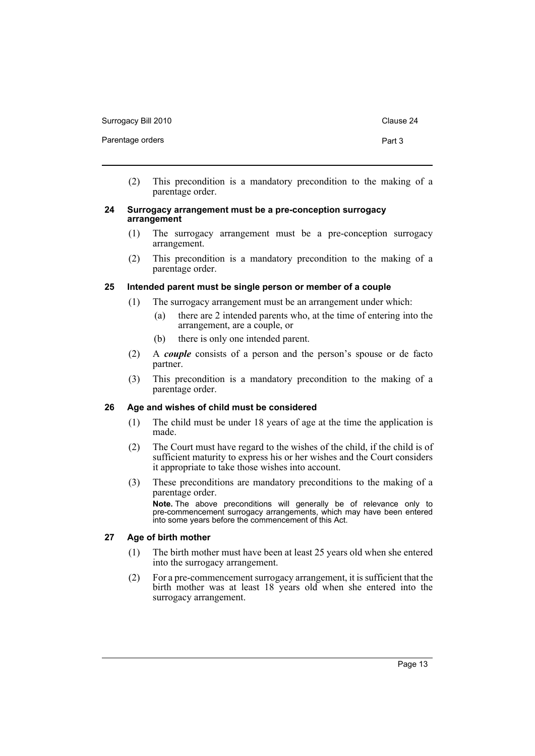Surrogacy Bill 2010 Clause 24

- 
- (2) This precondition is a mandatory precondition to the making of a parentage order.

#### <span id="page-16-0"></span>**24 Surrogacy arrangement must be a pre-conception surrogacy arrangement**

- (1) The surrogacy arrangement must be a pre-conception surrogacy arrangement.
- (2) This precondition is a mandatory precondition to the making of a parentage order.

# <span id="page-16-1"></span>**25 Intended parent must be single person or member of a couple**

- (1) The surrogacy arrangement must be an arrangement under which:
	- (a) there are 2 intended parents who, at the time of entering into the arrangement, are a couple, or
	- (b) there is only one intended parent.
- (2) A *couple* consists of a person and the person's spouse or de facto partner.
- (3) This precondition is a mandatory precondition to the making of a parentage order.

# <span id="page-16-2"></span>**26 Age and wishes of child must be considered**

- (1) The child must be under 18 years of age at the time the application is made.
- (2) The Court must have regard to the wishes of the child, if the child is of sufficient maturity to express his or her wishes and the Court considers it appropriate to take those wishes into account.
- (3) These preconditions are mandatory preconditions to the making of a parentage order.

**Note.** The above preconditions will generally be of relevance only to pre-commencement surrogacy arrangements, which may have been entered into some years before the commencement of this Act.

#### <span id="page-16-3"></span>**27 Age of birth mother**

- (1) The birth mother must have been at least 25 years old when she entered into the surrogacy arrangement.
- (2) For a pre-commencement surrogacy arrangement, it is sufficient that the birth mother was at least 18 years old when she entered into the surrogacy arrangement.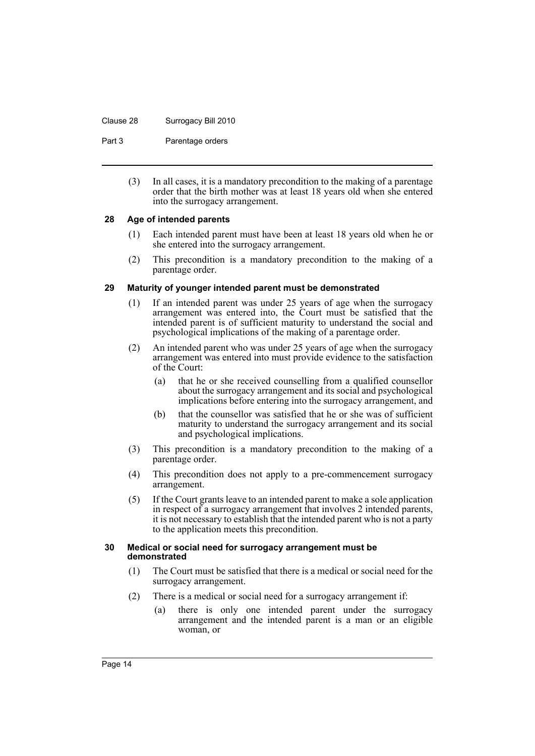#### Clause 28 Surrogacy Bill 2010

Part 3 **Parentage orders** 

(3) In all cases, it is a mandatory precondition to the making of a parentage order that the birth mother was at least 18 years old when she entered into the surrogacy arrangement.

# <span id="page-17-0"></span>**28 Age of intended parents**

- (1) Each intended parent must have been at least 18 years old when he or she entered into the surrogacy arrangement.
- (2) This precondition is a mandatory precondition to the making of a parentage order.

# <span id="page-17-1"></span>**29 Maturity of younger intended parent must be demonstrated**

- (1) If an intended parent was under 25 years of age when the surrogacy arrangement was entered into, the Court must be satisfied that the intended parent is of sufficient maturity to understand the social and psychological implications of the making of a parentage order.
- (2) An intended parent who was under 25 years of age when the surrogacy arrangement was entered into must provide evidence to the satisfaction of the Court:
	- (a) that he or she received counselling from a qualified counsellor about the surrogacy arrangement and its social and psychological implications before entering into the surrogacy arrangement, and
	- (b) that the counsellor was satisfied that he or she was of sufficient maturity to understand the surrogacy arrangement and its social and psychological implications.
- (3) This precondition is a mandatory precondition to the making of a parentage order.
- (4) This precondition does not apply to a pre-commencement surrogacy arrangement.
- (5) If the Court grants leave to an intended parent to make a sole application in respect of a surrogacy arrangement that involves 2 intended parents, it is not necessary to establish that the intended parent who is not a party to the application meets this precondition.

#### <span id="page-17-2"></span>**30 Medical or social need for surrogacy arrangement must be demonstrated**

- (1) The Court must be satisfied that there is a medical or social need for the surrogacy arrangement.
- (2) There is a medical or social need for a surrogacy arrangement if:
	- (a) there is only one intended parent under the surrogacy arrangement and the intended parent is a man or an eligible woman, or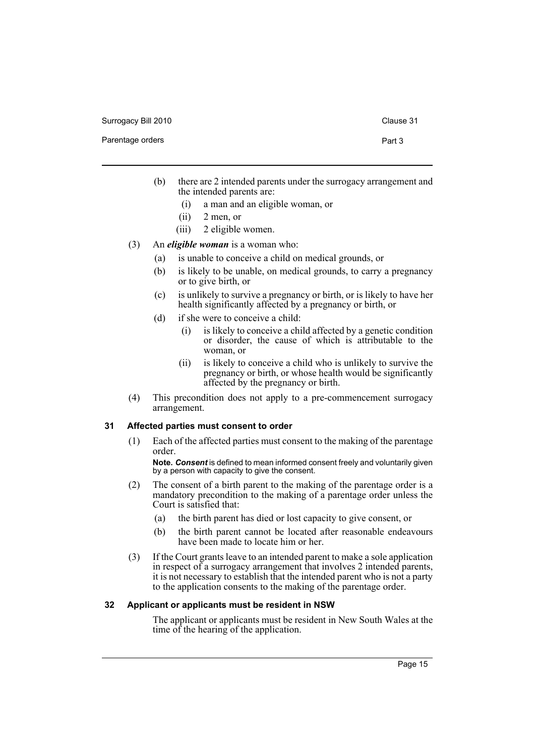Surrogacy Bill 2010 Clause 31

#### Parentage orders **Part 3**

- (b) there are 2 intended parents under the surrogacy arrangement and the intended parents are:
	- (i) a man and an eligible woman, or
	- (ii) 2 men, or
	- (iii) 2 eligible women.
- (3) An *eligible woman* is a woman who:
	- (a) is unable to conceive a child on medical grounds, or
	- (b) is likely to be unable, on medical grounds, to carry a pregnancy or to give birth, or
	- (c) is unlikely to survive a pregnancy or birth, or is likely to have her health significantly affected by a pregnancy or birth, or
	- (d) if she were to conceive a child:
		- (i) is likely to conceive a child affected by a genetic condition or disorder, the cause of which is attributable to the woman, or
		- (ii) is likely to conceive a child who is unlikely to survive the pregnancy or birth, or whose health would be significantly affected by the pregnancy or birth.
- (4) This precondition does not apply to a pre-commencement surrogacy arrangement.

#### <span id="page-18-0"></span>**31 Affected parties must consent to order**

(1) Each of the affected parties must consent to the making of the parentage order.

**Note.** *Consent* is defined to mean informed consent freely and voluntarily given by a person with capacity to give the consent.

- (2) The consent of a birth parent to the making of the parentage order is a mandatory precondition to the making of a parentage order unless the Court is satisfied that:
	- (a) the birth parent has died or lost capacity to give consent, or
	- (b) the birth parent cannot be located after reasonable endeavours have been made to locate him or her.
- (3) If the Court grants leave to an intended parent to make a sole application in respect of a surrogacy arrangement that involves 2 intended parents, it is not necessary to establish that the intended parent who is not a party to the application consents to the making of the parentage order.

### <span id="page-18-1"></span>**32 Applicant or applicants must be resident in NSW**

The applicant or applicants must be resident in New South Wales at the time of the hearing of the application.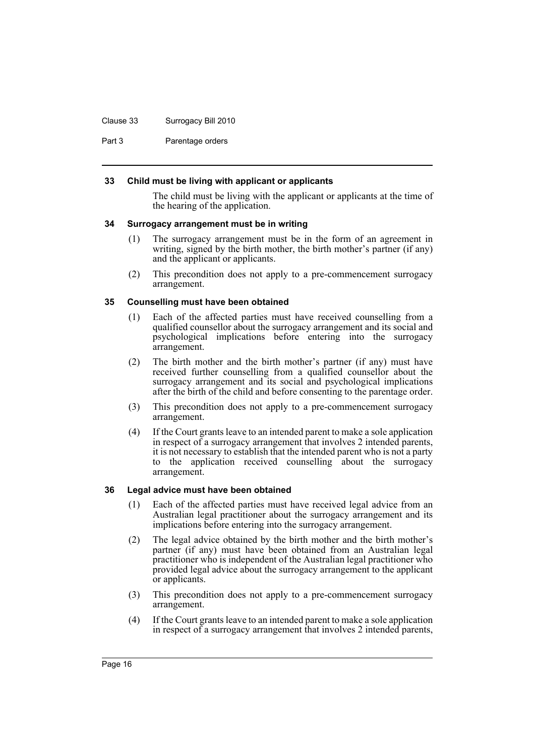#### Clause 33 Surrogacy Bill 2010

Part 3 **Parentage orders** 

## <span id="page-19-0"></span>**33 Child must be living with applicant or applicants**

The child must be living with the applicant or applicants at the time of the hearing of the application.

#### <span id="page-19-1"></span>**34 Surrogacy arrangement must be in writing**

- (1) The surrogacy arrangement must be in the form of an agreement in writing, signed by the birth mother, the birth mother's partner (if any) and the applicant or applicants.
- (2) This precondition does not apply to a pre-commencement surrogacy arrangement.

# <span id="page-19-2"></span>**35 Counselling must have been obtained**

- (1) Each of the affected parties must have received counselling from a qualified counsellor about the surrogacy arrangement and its social and psychological implications before entering into the surrogacy arrangement.
- (2) The birth mother and the birth mother's partner (if any) must have received further counselling from a qualified counsellor about the surrogacy arrangement and its social and psychological implications after the birth of the child and before consenting to the parentage order.
- (3) This precondition does not apply to a pre-commencement surrogacy arrangement.
- (4) If the Court grants leave to an intended parent to make a sole application in respect of a surrogacy arrangement that involves 2 intended parents, it is not necessary to establish that the intended parent who is not a party to the application received counselling about the surrogacy arrangement.

#### <span id="page-19-3"></span>**36 Legal advice must have been obtained**

- (1) Each of the affected parties must have received legal advice from an Australian legal practitioner about the surrogacy arrangement and its implications before entering into the surrogacy arrangement.
- (2) The legal advice obtained by the birth mother and the birth mother's partner (if any) must have been obtained from an Australian legal practitioner who is independent of the Australian legal practitioner who provided legal advice about the surrogacy arrangement to the applicant or applicants.
- (3) This precondition does not apply to a pre-commencement surrogacy arrangement.
- (4) If the Court grants leave to an intended parent to make a sole application in respect of a surrogacy arrangement that involves 2 intended parents,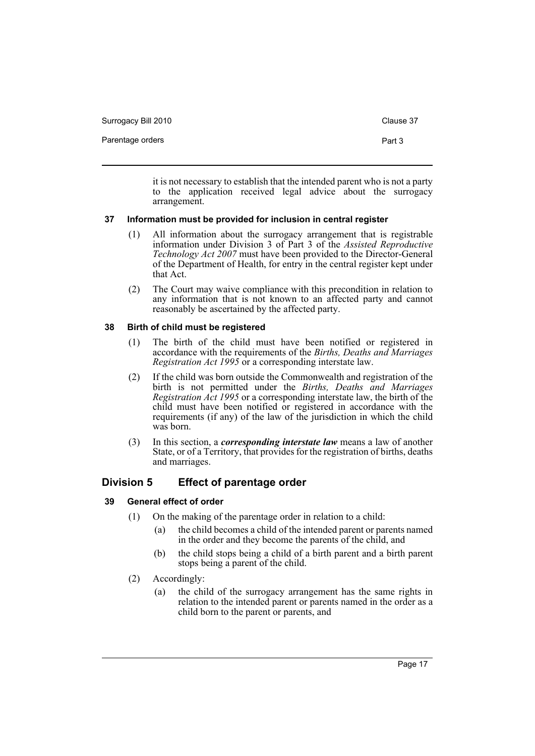Surrogacy Bill 2010 Clause 37

Parentage orders **Part 3** 

it is not necessary to establish that the intended parent who is not a party to the application received legal advice about the surrogacy arrangement.

# <span id="page-20-0"></span>**37 Information must be provided for inclusion in central register**

- (1) All information about the surrogacy arrangement that is registrable information under Division 3 of Part 3 of the *Assisted Reproductive Technology Act 2007* must have been provided to the Director-General of the Department of Health, for entry in the central register kept under that Act.
- (2) The Court may waive compliance with this precondition in relation to any information that is not known to an affected party and cannot reasonably be ascertained by the affected party.

# <span id="page-20-1"></span>**38 Birth of child must be registered**

- (1) The birth of the child must have been notified or registered in accordance with the requirements of the *Births, Deaths and Marriages Registration Act 1995* or a corresponding interstate law.
- (2) If the child was born outside the Commonwealth and registration of the birth is not permitted under the *Births, Deaths and Marriages Registration Act 1995* or a corresponding interstate law, the birth of the child must have been notified or registered in accordance with the requirements (if any) of the law of the jurisdiction in which the child was born.
- (3) In this section, a *corresponding interstate law* means a law of another State, or of a Territory, that provides for the registration of births, deaths and marriages.

# <span id="page-20-2"></span>**Division 5 Effect of parentage order**

# <span id="page-20-3"></span>**39 General effect of order**

- (1) On the making of the parentage order in relation to a child:
	- (a) the child becomes a child of the intended parent or parents named in the order and they become the parents of the child, and
	- (b) the child stops being a child of a birth parent and a birth parent stops being a parent of the child.
- (2) Accordingly:
	- (a) the child of the surrogacy arrangement has the same rights in relation to the intended parent or parents named in the order as a child born to the parent or parents, and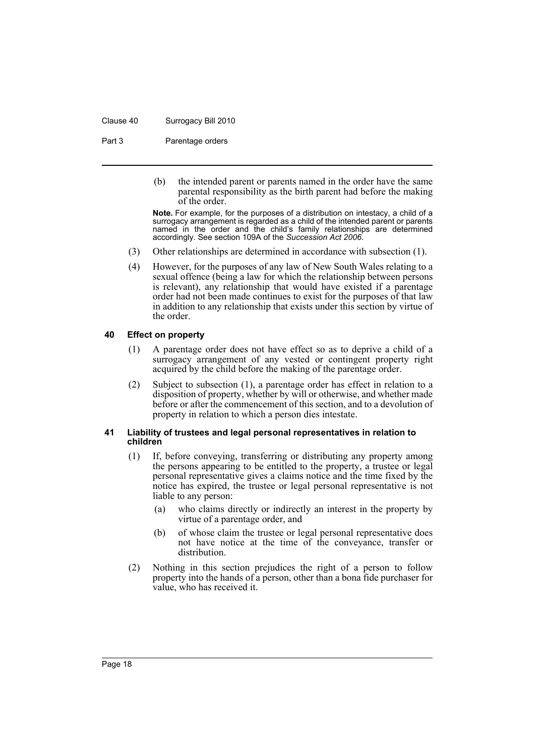#### Clause 40 Surrogacy Bill 2010

Part 3 **Parentage orders** 

(b) the intended parent or parents named in the order have the same parental responsibility as the birth parent had before the making of the order.

**Note.** For example, for the purposes of a distribution on intestacy, a child of a surrogacy arrangement is regarded as a child of the intended parent or parents named in the order and the child's family relationships are determined accordingly. See section 109A of the *Succession Act 2006*.

- (3) Other relationships are determined in accordance with subsection (1).
- (4) However, for the purposes of any law of New South Wales relating to a sexual offence (being a law for which the relationship between persons is relevant), any relationship that would have existed if a parentage order had not been made continues to exist for the purposes of that law in addition to any relationship that exists under this section by virtue of the order.

#### <span id="page-21-0"></span>**40 Effect on property**

- (1) A parentage order does not have effect so as to deprive a child of a surrogacy arrangement of any vested or contingent property right acquired by the child before the making of the parentage order.
- (2) Subject to subsection (1), a parentage order has effect in relation to a disposition of property, whether by will or otherwise, and whether made before or after the commencement of this section, and to a devolution of property in relation to which a person dies intestate.

#### <span id="page-21-1"></span>**41 Liability of trustees and legal personal representatives in relation to children**

- (1) If, before conveying, transferring or distributing any property among the persons appearing to be entitled to the property, a trustee or legal personal representative gives a claims notice and the time fixed by the notice has expired, the trustee or legal personal representative is not liable to any person:
	- (a) who claims directly or indirectly an interest in the property by virtue of a parentage order, and
	- (b) of whose claim the trustee or legal personal representative does not have notice at the time of the conveyance, transfer or distribution.
- (2) Nothing in this section prejudices the right of a person to follow property into the hands of a person, other than a bona fide purchaser for value, who has received it.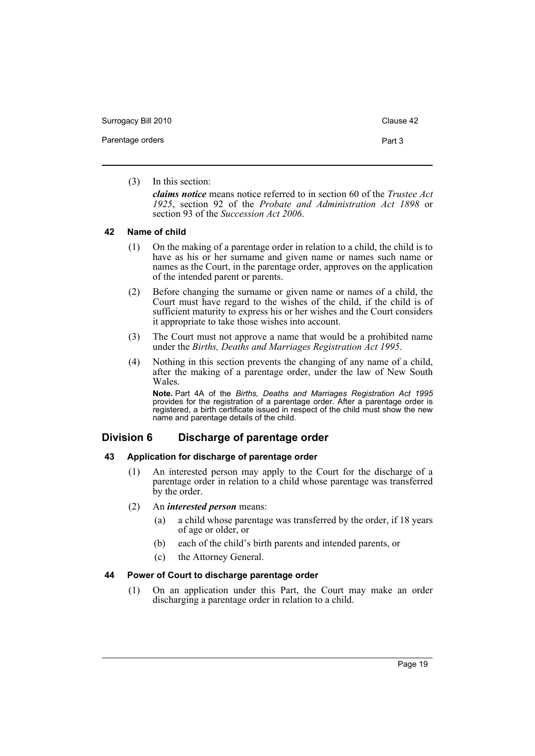Surrogacy Bill 2010 Clause 42

(3) In this section:

*claims notice* means notice referred to in section 60 of the *Trustee Act 1925*, section 92 of the *Probate and Administration Act 1898* or section 93 of the *Succession Act 2006*.

#### <span id="page-22-0"></span>**42 Name of child**

- (1) On the making of a parentage order in relation to a child, the child is to have as his or her surname and given name or names such name or names as the Court, in the parentage order, approves on the application of the intended parent or parents.
- (2) Before changing the surname or given name or names of a child, the Court must have regard to the wishes of the child, if the child is of sufficient maturity to express his or her wishes and the Court considers it appropriate to take those wishes into account.
- (3) The Court must not approve a name that would be a prohibited name under the *Births, Deaths and Marriages Registration Act 1995*.
- (4) Nothing in this section prevents the changing of any name of a child, after the making of a parentage order, under the law of New South Wales.

**Note.** Part 4A of the *Births, Deaths and Marriages Registration Act 1995* provides for the registration of a parentage order. After a parentage order is registered, a birth certificate issued in respect of the child must show the new name and parentage details of the child.

# <span id="page-22-1"></span>**Division 6 Discharge of parentage order**

# <span id="page-22-2"></span>**43 Application for discharge of parentage order**

(1) An interested person may apply to the Court for the discharge of a parentage order in relation to a child whose parentage was transferred by the order.

## (2) An *interested person* means:

- (a) a child whose parentage was transferred by the order, if 18 years of age or older, or
- (b) each of the child's birth parents and intended parents, or
- (c) the Attorney General.

#### <span id="page-22-3"></span>**44 Power of Court to discharge parentage order**

(1) On an application under this Part, the Court may make an order discharging a parentage order in relation to a child.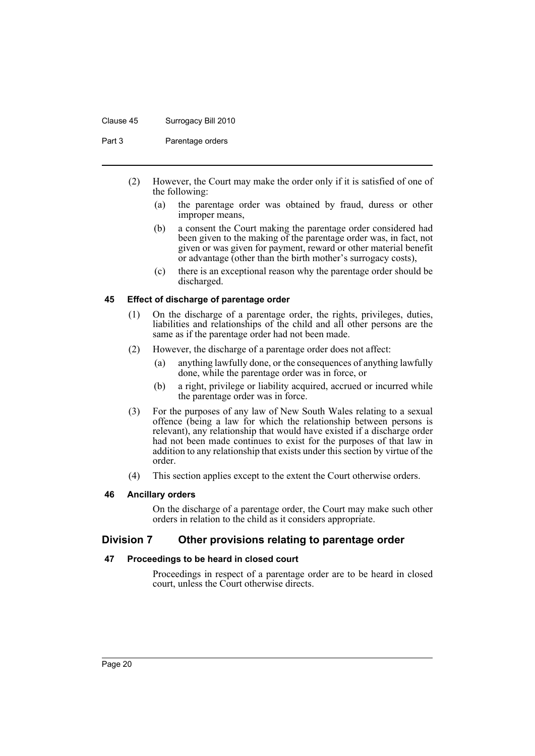#### Clause 45 Surrogacy Bill 2010

Part 3 **Parentage orders** 

- (2) However, the Court may make the order only if it is satisfied of one of the following:
	- (a) the parentage order was obtained by fraud, duress or other improper means,
	- (b) a consent the Court making the parentage order considered had been given to the making of the parentage order was, in fact, not given or was given for payment, reward or other material benefit or advantage (other than the birth mother's surrogacy costs),
	- (c) there is an exceptional reason why the parentage order should be discharged.

# <span id="page-23-0"></span>**45 Effect of discharge of parentage order**

- (1) On the discharge of a parentage order, the rights, privileges, duties, liabilities and relationships of the child and all other persons are the same as if the parentage order had not been made.
- (2) However, the discharge of a parentage order does not affect:
	- (a) anything lawfully done, or the consequences of anything lawfully done, while the parentage order was in force, or
	- (b) a right, privilege or liability acquired, accrued or incurred while the parentage order was in force.
- (3) For the purposes of any law of New South Wales relating to a sexual offence (being a law for which the relationship between persons is relevant), any relationship that would have existed if a discharge order had not been made continues to exist for the purposes of that law in addition to any relationship that exists under this section by virtue of the order.
- (4) This section applies except to the extent the Court otherwise orders.

#### <span id="page-23-1"></span>**46 Ancillary orders**

On the discharge of a parentage order, the Court may make such other orders in relation to the child as it considers appropriate.

# <span id="page-23-2"></span>**Division 7 Other provisions relating to parentage order**

#### <span id="page-23-3"></span>**47 Proceedings to be heard in closed court**

Proceedings in respect of a parentage order are to be heard in closed court, unless the Court otherwise directs.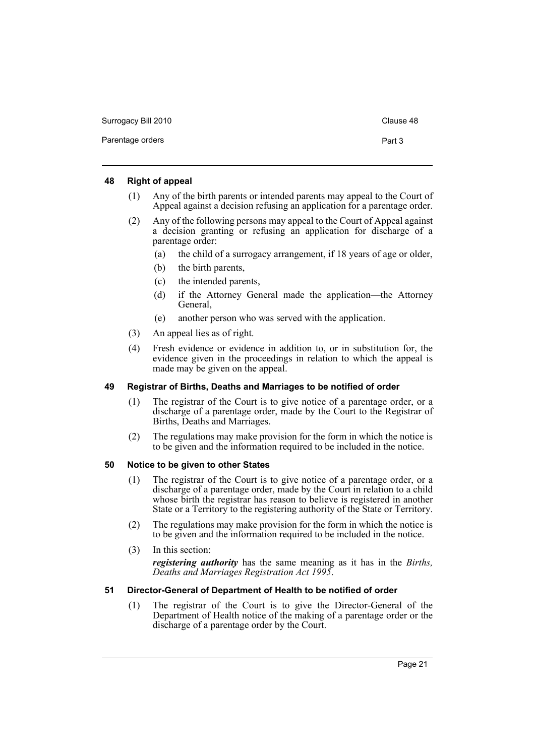| Surrogacy Bill 2010 | Clause 48 |
|---------------------|-----------|
| Parentage orders    | Part 3    |

## <span id="page-24-0"></span>**48 Right of appeal**

- (1) Any of the birth parents or intended parents may appeal to the Court of Appeal against a decision refusing an application for a parentage order.
- (2) Any of the following persons may appeal to the Court of Appeal against a decision granting or refusing an application for discharge of a parentage order:
	- (a) the child of a surrogacy arrangement, if 18 years of age or older,
	- (b) the birth parents,
	- (c) the intended parents,
	- (d) if the Attorney General made the application—the Attorney General,
	- (e) another person who was served with the application.
- (3) An appeal lies as of right.
- (4) Fresh evidence or evidence in addition to, or in substitution for, the evidence given in the proceedings in relation to which the appeal is made may be given on the appeal.

# <span id="page-24-1"></span>**49 Registrar of Births, Deaths and Marriages to be notified of order**

- (1) The registrar of the Court is to give notice of a parentage order, or a discharge of a parentage order, made by the Court to the Registrar of Births, Deaths and Marriages.
- (2) The regulations may make provision for the form in which the notice is to be given and the information required to be included in the notice.

# <span id="page-24-2"></span>**50 Notice to be given to other States**

- (1) The registrar of the Court is to give notice of a parentage order, or a discharge of a parentage order, made by the Court in relation to a child whose birth the registrar has reason to believe is registered in another State or a Territory to the registering authority of the State or Territory.
- (2) The regulations may make provision for the form in which the notice is to be given and the information required to be included in the notice.
- (3) In this section:

*registering authority* has the same meaning as it has in the *Births, Deaths and Marriages Registration Act 1995*.

# <span id="page-24-3"></span>**51 Director-General of Department of Health to be notified of order**

(1) The registrar of the Court is to give the Director-General of the Department of Health notice of the making of a parentage order or the discharge of a parentage order by the Court.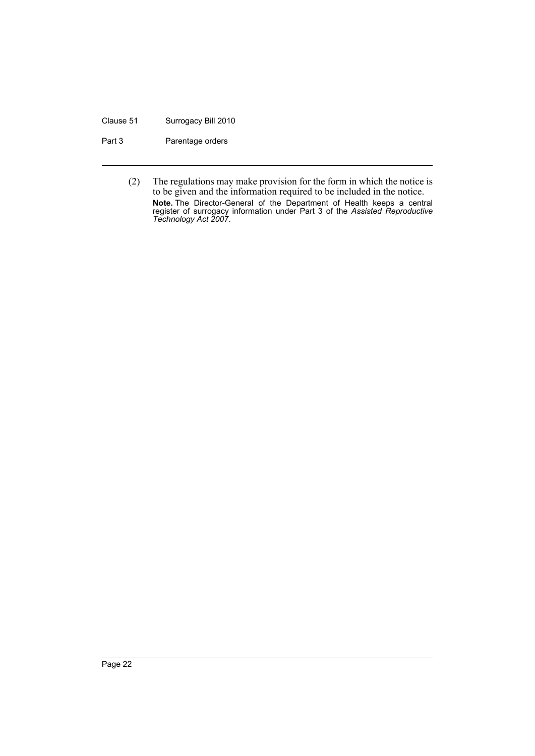#### Clause 51 Surrogacy Bill 2010

Part 3 Parentage orders

(2) The regulations may make provision for the form in which the notice is to be given and the information required to be included in the notice. **Note.** The Director-General of the Department of Health keeps a central register of surrogacy information under Part 3 of the *Assisted Reproductive Technology Act 2007*.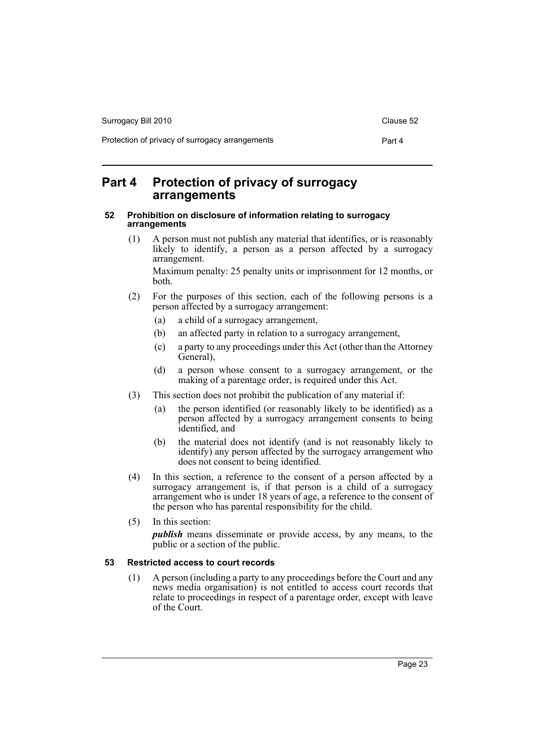| Surrogacy Bill 2010                             | Clause 52 |
|-------------------------------------------------|-----------|
| Protection of privacy of surrogacy arrangements | Part 4    |

# <span id="page-26-0"></span>**Part 4 Protection of privacy of surrogacy arrangements**

## <span id="page-26-1"></span>**52 Prohibition on disclosure of information relating to surrogacy arrangements**

(1) A person must not publish any material that identifies, or is reasonably likely to identify, a person as a person affected by a surrogacy arrangement.

Maximum penalty: 25 penalty units or imprisonment for 12 months, or both.

- (2) For the purposes of this section, each of the following persons is a person affected by a surrogacy arrangement:
	- (a) a child of a surrogacy arrangement,
	- (b) an affected party in relation to a surrogacy arrangement,
	- (c) a party to any proceedings under this Act (other than the Attorney General),
	- (d) a person whose consent to a surrogacy arrangement, or the making of a parentage order, is required under this Act.
- (3) This section does not prohibit the publication of any material if:
	- (a) the person identified (or reasonably likely to be identified) as a person affected by a surrogacy arrangement consents to being identified, and
	- (b) the material does not identify (and is not reasonably likely to identify) any person affected by the surrogacy arrangement who does not consent to being identified.
- (4) In this section, a reference to the consent of a person affected by a surrogacy arrangement is, if that person is a child of a surrogacy arrangement who is under 18 years of age, a reference to the consent of the person who has parental responsibility for the child.
- (5) In this section:

*publish* means disseminate or provide access, by any means, to the public or a section of the public.

# <span id="page-26-2"></span>**53 Restricted access to court records**

(1) A person (including a party to any proceedings before the Court and any news media organisation) is not entitled to access court records that relate to proceedings in respect of a parentage order, except with leave of the Court.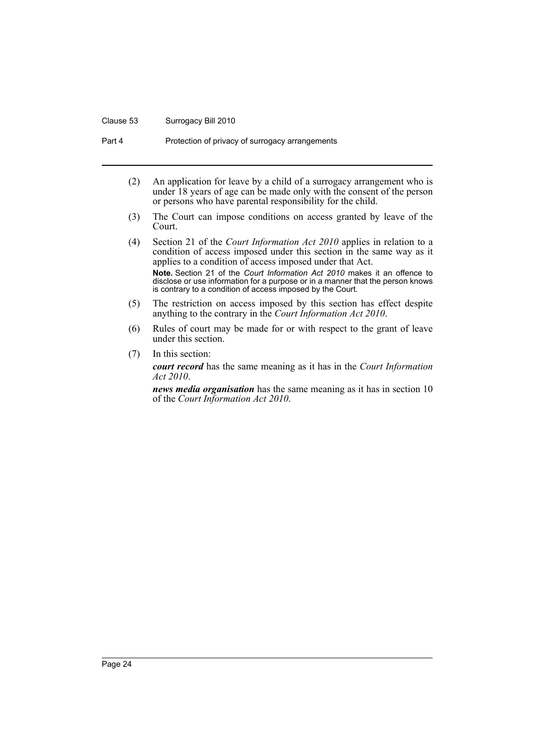#### Clause 53 Surrogacy Bill 2010

Part 4 **Protection of privacy of surrogacy arrangements** 

- (2) An application for leave by a child of a surrogacy arrangement who is under 18 years of age can be made only with the consent of the person or persons who have parental responsibility for the child.
- (3) The Court can impose conditions on access granted by leave of the Court.
- (4) Section 21 of the *Court Information Act 2010* applies in relation to a condition of access imposed under this section in the same way as it applies to a condition of access imposed under that Act. **Note.** Section 21 of the *Court Information Act 2010* makes it an offence to disclose or use information for a purpose or in a manner that the person knows is contrary to a condition of access imposed by the Court.
- (5) The restriction on access imposed by this section has effect despite anything to the contrary in the *Court Information Act 2010*.
- (6) Rules of court may be made for or with respect to the grant of leave under this section.
- (7) In this section:

*court record* has the same meaning as it has in the *Court Information Act 2010*.

*news media organisation* has the same meaning as it has in section 10 of the *Court Information Act 2010*.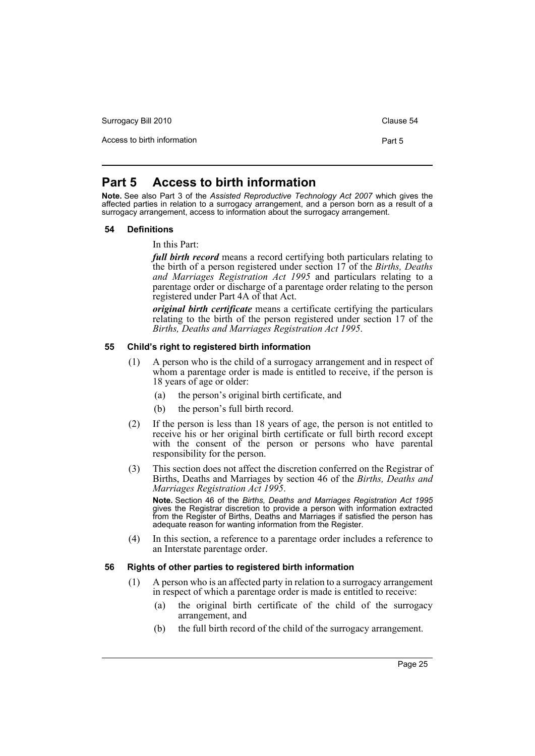Surrogacy Bill 2010 Clause 54

Access to birth information **Part 5** 

# <span id="page-28-0"></span>**Part 5 Access to birth information**

**Note.** See also Part 3 of the *Assisted Reproductive Technology Act 2007* which gives the affected parties in relation to a surrogacy arrangement, and a person born as a result of a surrogacy arrangement, access to information about the surrogacy arrangement.

#### <span id="page-28-1"></span>**54 Definitions**

In this Part:

*full birth record* means a record certifying both particulars relating to the birth of a person registered under section 17 of the *Births, Deaths and Marriages Registration Act 1995* and particulars relating to a parentage order or discharge of a parentage order relating to the person registered under Part 4A of that Act.

*original birth certificate* means a certificate certifying the particulars relating to the birth of the person registered under section 17 of the *Births, Deaths and Marriages Registration Act 1995*.

#### <span id="page-28-2"></span>**55 Child's right to registered birth information**

- (1) A person who is the child of a surrogacy arrangement and in respect of whom a parentage order is made is entitled to receive, if the person is 18 years of age or older:
	- (a) the person's original birth certificate, and
	- (b) the person's full birth record.
- (2) If the person is less than 18 years of age, the person is not entitled to receive his or her original birth certificate or full birth record except with the consent of the person or persons who have parental responsibility for the person.
- (3) This section does not affect the discretion conferred on the Registrar of Births, Deaths and Marriages by section 46 of the *Births, Deaths and Marriages Registration Act 1995*.

**Note.** Section 46 of the *Births, Deaths and Marriages Registration Act 1995* gives the Registrar discretion to provide a person with information extracted from the Register of Births, Deaths and Marriages if satisfied the person has adequate reason for wanting information from the Register.

(4) In this section, a reference to a parentage order includes a reference to an Interstate parentage order.

#### <span id="page-28-3"></span>**56 Rights of other parties to registered birth information**

- (1) A person who is an affected party in relation to a surrogacy arrangement in respect of which a parentage order is made is entitled to receive:
	- (a) the original birth certificate of the child of the surrogacy arrangement, and
	- (b) the full birth record of the child of the surrogacy arrangement.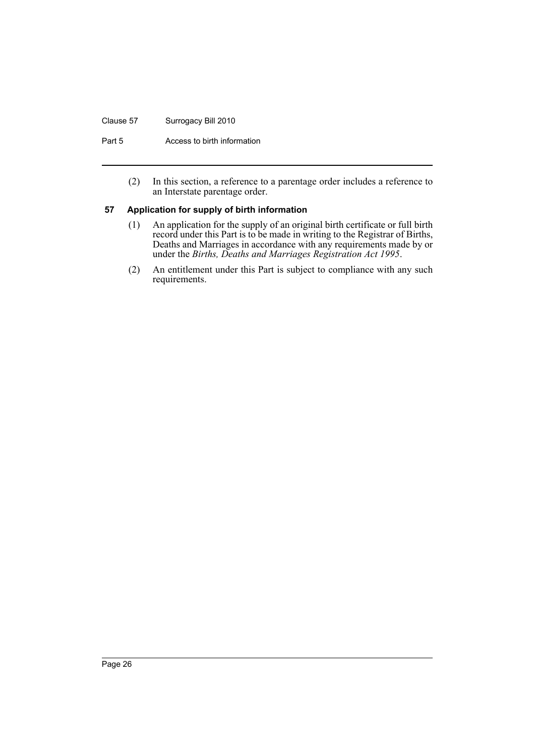#### Clause 57 Surrogacy Bill 2010

Part 5 **Access to birth information** 

(2) In this section, a reference to a parentage order includes a reference to an Interstate parentage order.

#### <span id="page-29-0"></span>**57 Application for supply of birth information**

- (1) An application for the supply of an original birth certificate or full birth record under this Part is to be made in writing to the Registrar of Births, Deaths and Marriages in accordance with any requirements made by or under the *Births, Deaths and Marriages Registration Act 1995*.
- (2) An entitlement under this Part is subject to compliance with any such requirements.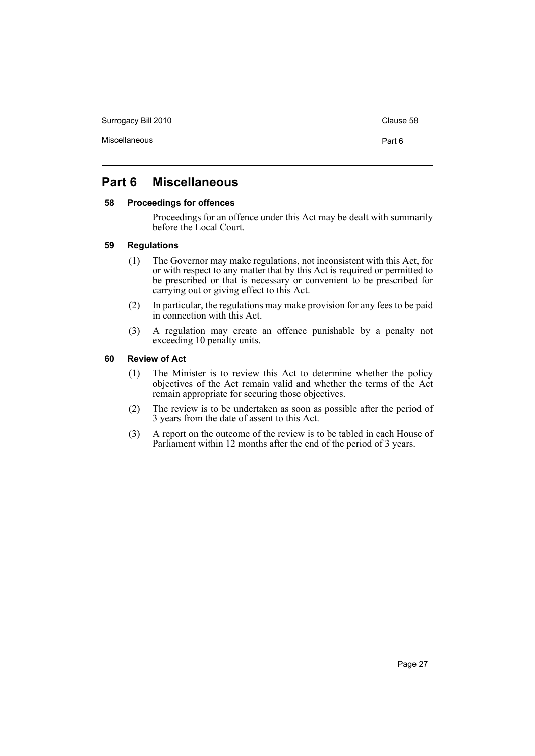Surrogacy Bill 2010 Clause 58

# <span id="page-30-0"></span>**Part 6 Miscellaneous**

# <span id="page-30-1"></span>**58 Proceedings for offences**

Proceedings for an offence under this Act may be dealt with summarily before the Local Court.

#### <span id="page-30-2"></span>**59 Regulations**

- (1) The Governor may make regulations, not inconsistent with this Act, for or with respect to any matter that by this Act is required or permitted to be prescribed or that is necessary or convenient to be prescribed for carrying out or giving effect to this Act.
- (2) In particular, the regulations may make provision for any fees to be paid in connection with this Act.
- (3) A regulation may create an offence punishable by a penalty not exceeding 10 penalty units.

# <span id="page-30-3"></span>**60 Review of Act**

- (1) The Minister is to review this Act to determine whether the policy objectives of the Act remain valid and whether the terms of the Act remain appropriate for securing those objectives.
- (2) The review is to be undertaken as soon as possible after the period of 3 years from the date of assent to this Act.
- (3) A report on the outcome of the review is to be tabled in each House of Parliament within 12 months after the end of the period of 3 years.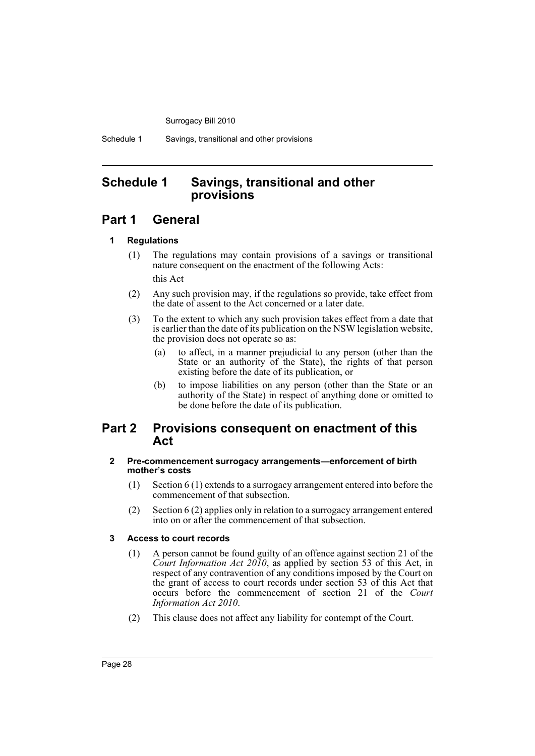Schedule 1 Savings, transitional and other provisions

# <span id="page-31-0"></span>**Schedule 1 Savings, transitional and other provisions**

# **Part 1 General**

# **1 Regulations**

- (1) The regulations may contain provisions of a savings or transitional nature consequent on the enactment of the following Acts: this Act
- (2) Any such provision may, if the regulations so provide, take effect from the date of assent to the Act concerned or a later date.
- (3) To the extent to which any such provision takes effect from a date that is earlier than the date of its publication on the NSW legislation website, the provision does not operate so as:
	- (a) to affect, in a manner prejudicial to any person (other than the State or an authority of the State), the rights of that person existing before the date of its publication, or
	- (b) to impose liabilities on any person (other than the State or an authority of the State) in respect of anything done or omitted to be done before the date of its publication.

# **Part 2 Provisions consequent on enactment of this Act**

# **2 Pre-commencement surrogacy arrangements—enforcement of birth mother's costs**

- (1) Section 6 (1) extends to a surrogacy arrangement entered into before the commencement of that subsection.
- (2) Section 6 (2) applies only in relation to a surrogacy arrangement entered into on or after the commencement of that subsection.

# **3 Access to court records**

- (1) A person cannot be found guilty of an offence against section 21 of the *Court Information Act 2010*, as applied by section 53 of this Act, in respect of any contravention of any conditions imposed by the Court on the grant of access to court records under section 53 of this Act that occurs before the commencement of section 21 of the *Court Information Act 2010*.
- (2) This clause does not affect any liability for contempt of the Court.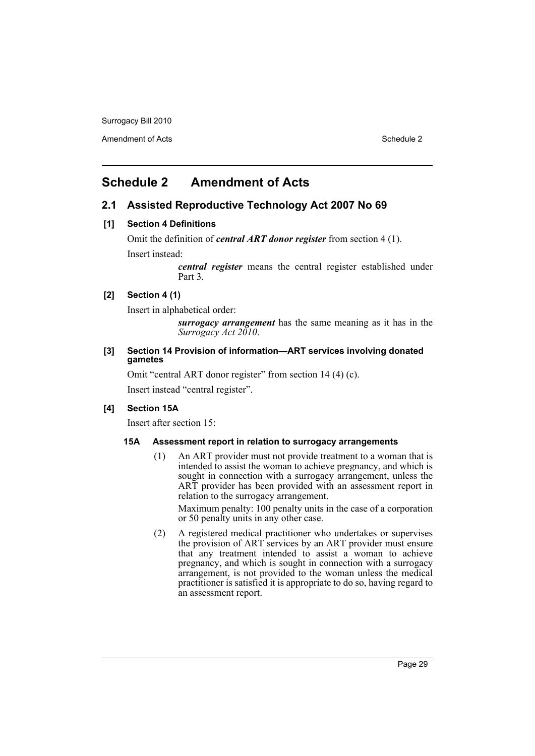Amendment of Acts **Schedule 2** and the 2

# <span id="page-32-0"></span>**Schedule 2 Amendment of Acts**

# **2.1 Assisted Reproductive Technology Act 2007 No 69**

#### **[1] Section 4 Definitions**

Omit the definition of *central ART donor register* from section 4 (1). Insert instead:

> *central register* means the central register established under Part 3.

# **[2] Section 4 (1)**

Insert in alphabetical order:

*surrogacy arrangement* has the same meaning as it has in the *Surrogacy Act 2010*.

# **[3] Section 14 Provision of information—ART services involving donated gametes**

Omit "central ART donor register" from section 14 (4) (c).

Insert instead "central register".

# **[4] Section 15A**

Insert after section 15:

#### **15A Assessment report in relation to surrogacy arrangements**

(1) An ART provider must not provide treatment to a woman that is intended to assist the woman to achieve pregnancy, and which is sought in connection with a surrogacy arrangement, unless the ART provider has been provided with an assessment report in relation to the surrogacy arrangement.

Maximum penalty: 100 penalty units in the case of a corporation or 50 penalty units in any other case.

(2) A registered medical practitioner who undertakes or supervises the provision of ART services by an ART provider must ensure that any treatment intended to assist a woman to achieve pregnancy, and which is sought in connection with a surrogacy arrangement, is not provided to the woman unless the medical practitioner is satisfied it is appropriate to do so, having regard to an assessment report.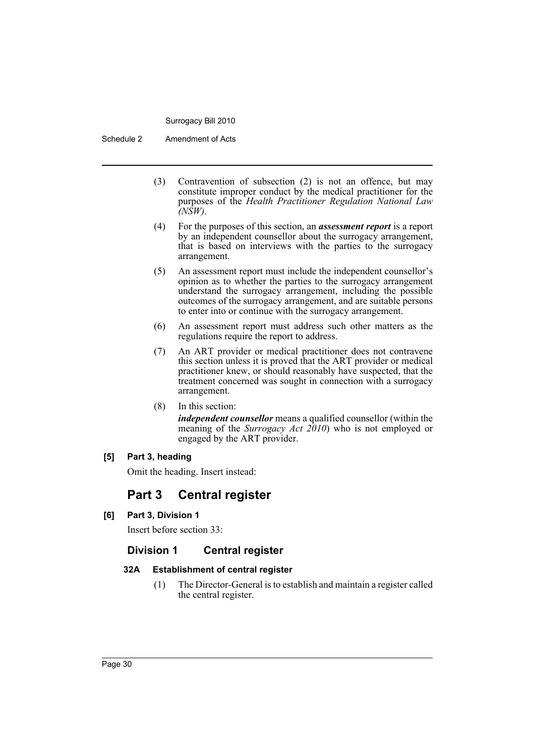Schedule 2 Amendment of Acts

- (3) Contravention of subsection (2) is not an offence, but may constitute improper conduct by the medical practitioner for the purposes of the *Health Practitioner Regulation National Law (NSW).*
- (4) For the purposes of this section, an *assessment report* is a report by an independent counsellor about the surrogacy arrangement, that is based on interviews with the parties to the surrogacy arrangement.
- (5) An assessment report must include the independent counsellor's opinion as to whether the parties to the surrogacy arrangement understand the surrogacy arrangement, including the possible outcomes of the surrogacy arrangement, and are suitable persons to enter into or continue with the surrogacy arrangement.
- (6) An assessment report must address such other matters as the regulations require the report to address.
- (7) An ART provider or medical practitioner does not contravene this section unless it is proved that the ART provider or medical practitioner knew, or should reasonably have suspected, that the treatment concerned was sought in connection with a surrogacy arrangement.
- (8) In this section:

*independent counsellor* means a qualified counsellor (within the meaning of the *Surrogacy Act 2010*) who is not employed or engaged by the ART provider.

# **[5] Part 3, heading**

Omit the heading. Insert instead:

# **Part 3 Central register**

**[6] Part 3, Division 1**

Insert before section 33:

# **Division 1 Central register**

# **32A Establishment of central register**

(1) The Director-General is to establish and maintain a register called the central register.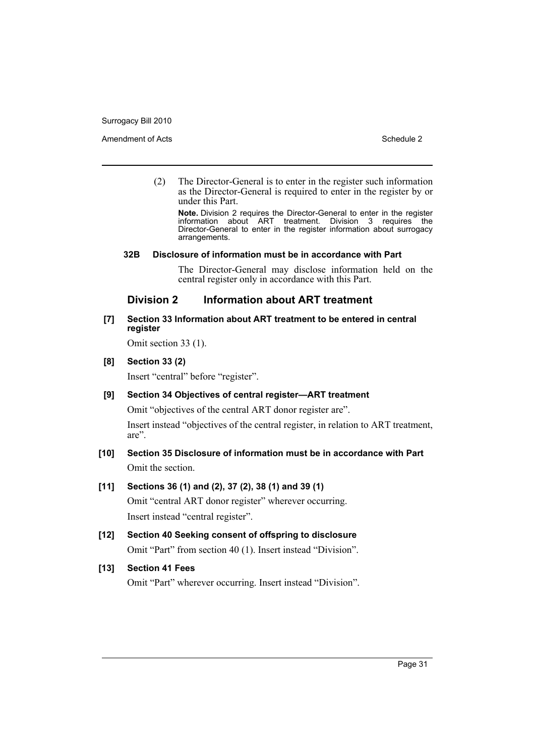Amendment of Acts **Schedule 2** and the 2

(2) The Director-General is to enter in the register such information as the Director-General is required to enter in the register by or under this Part.

**Note.** Division 2 requires the Director-General to enter in the register information about ART treatment. Division 3 requires the Director-General to enter in the register information about surrogacy arrangements.

# **32B Disclosure of information must be in accordance with Part**

The Director-General may disclose information held on the central register only in accordance with this Part.

# **Division 2 Information about ART treatment**

# **[7] Section 33 Information about ART treatment to be entered in central register**

Omit section 33 (1).

# **[8] Section 33 (2)**

Insert "central" before "register".

# **[9] Section 34 Objectives of central register—ART treatment**

Omit "objectives of the central ART donor register are".

Insert instead "objectives of the central register, in relation to ART treatment, are".

# **[10] Section 35 Disclosure of information must be in accordance with Part** Omit the section.

# **[11] Sections 36 (1) and (2), 37 (2), 38 (1) and 39 (1)**

Omit "central ART donor register" wherever occurring. Insert instead "central register".

**[12] Section 40 Seeking consent of offspring to disclosure** Omit "Part" from section 40 (1). Insert instead "Division".

# **[13] Section 41 Fees**

Omit "Part" wherever occurring. Insert instead "Division".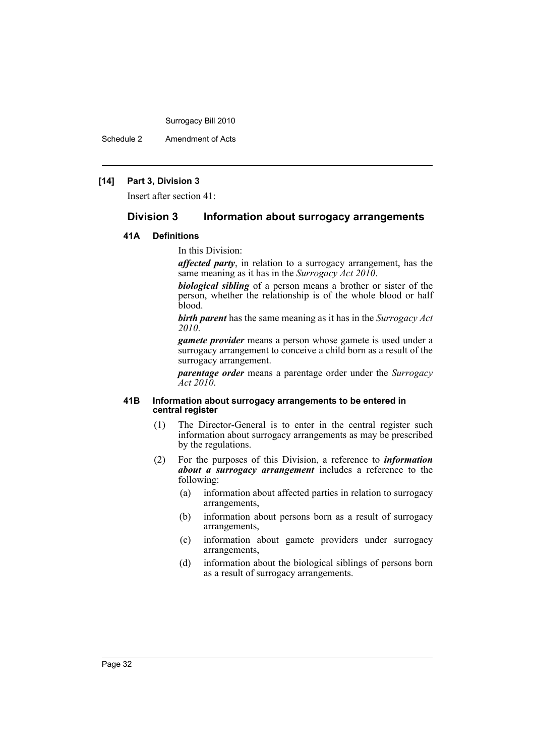Schedule 2 Amendment of Acts

# **[14] Part 3, Division 3**

Insert after section 41:

## **Division 3 Information about surrogacy arrangements**

## **41A Definitions**

In this Division:

*affected party*, in relation to a surrogacy arrangement, has the same meaning as it has in the *Surrogacy Act 2010*.

*biological sibling* of a person means a brother or sister of the person, whether the relationship is of the whole blood or half blood.

*birth parent* has the same meaning as it has in the *Surrogacy Act 2010*.

*gamete provider* means a person whose gamete is used under a surrogacy arrangement to conceive a child born as a result of the surrogacy arrangement.

*parentage order* means a parentage order under the *Surrogacy Act 2010*.

#### **41B Information about surrogacy arrangements to be entered in central register**

- (1) The Director-General is to enter in the central register such information about surrogacy arrangements as may be prescribed by the regulations.
- (2) For the purposes of this Division, a reference to *information about a surrogacy arrangement* includes a reference to the following:
	- (a) information about affected parties in relation to surrogacy arrangements,
	- (b) information about persons born as a result of surrogacy arrangements,
	- (c) information about gamete providers under surrogacy arrangements,
	- (d) information about the biological siblings of persons born as a result of surrogacy arrangements.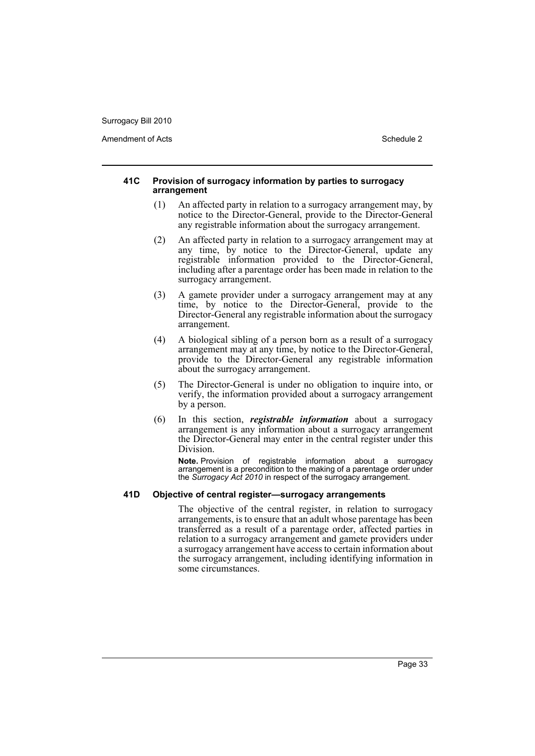Amendment of Acts **Schedule 2** and the 2

#### **41C Provision of surrogacy information by parties to surrogacy arrangement**

- (1) An affected party in relation to a surrogacy arrangement may, by notice to the Director-General, provide to the Director-General any registrable information about the surrogacy arrangement.
- (2) An affected party in relation to a surrogacy arrangement may at any time, by notice to the Director-General, update any registrable information provided to the Director-General, including after a parentage order has been made in relation to the surrogacy arrangement.
- (3) A gamete provider under a surrogacy arrangement may at any time, by notice to the Director-General, provide to the Director-General any registrable information about the surrogacy arrangement.
- (4) A biological sibling of a person born as a result of a surrogacy arrangement may at any time, by notice to the Director-General, provide to the Director-General any registrable information about the surrogacy arrangement.
- (5) The Director-General is under no obligation to inquire into, or verify, the information provided about a surrogacy arrangement by a person.
- (6) In this section, *registrable information* about a surrogacy arrangement is any information about a surrogacy arrangement the Director-General may enter in the central register under this Division.

**Note.** Provision of registrable information about a surrogacy arrangement is a precondition to the making of a parentage order under the *Surrogacy Act 2010* in respect of the surrogacy arrangement.

### **41D Objective of central register—surrogacy arrangements**

The objective of the central register, in relation to surrogacy arrangements, is to ensure that an adult whose parentage has been transferred as a result of a parentage order, affected parties in relation to a surrogacy arrangement and gamete providers under a surrogacy arrangement have access to certain information about the surrogacy arrangement, including identifying information in some circumstances.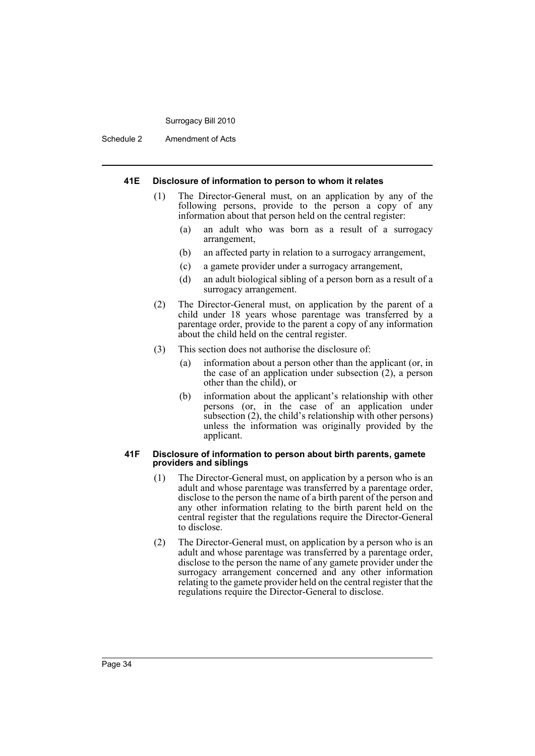Schedule 2 Amendment of Acts

#### **41E Disclosure of information to person to whom it relates**

- (1) The Director-General must, on an application by any of the following persons, provide to the person a copy of any information about that person held on the central register:
	- (a) an adult who was born as a result of a surrogacy arrangement,
	- (b) an affected party in relation to a surrogacy arrangement,
	- (c) a gamete provider under a surrogacy arrangement,
	- (d) an adult biological sibling of a person born as a result of a surrogacy arrangement.
- (2) The Director-General must, on application by the parent of a child under 18 years whose parentage was transferred by a parentage order, provide to the parent a copy of any information about the child held on the central register.
- (3) This section does not authorise the disclosure of:
	- (a) information about a person other than the applicant (or, in the case of an application under subsection (2), a person other than the child), or
	- (b) information about the applicant's relationship with other persons (or, in the case of an application under subsection (2), the child's relationship with other persons) unless the information was originally provided by the applicant.

#### **41F Disclosure of information to person about birth parents, gamete providers and siblings**

- (1) The Director-General must, on application by a person who is an adult and whose parentage was transferred by a parentage order, disclose to the person the name of a birth parent of the person and any other information relating to the birth parent held on the central register that the regulations require the Director-General to disclose.
- (2) The Director-General must, on application by a person who is an adult and whose parentage was transferred by a parentage order, disclose to the person the name of any gamete provider under the surrogacy arrangement concerned and any other information relating to the gamete provider held on the central register that the regulations require the Director-General to disclose.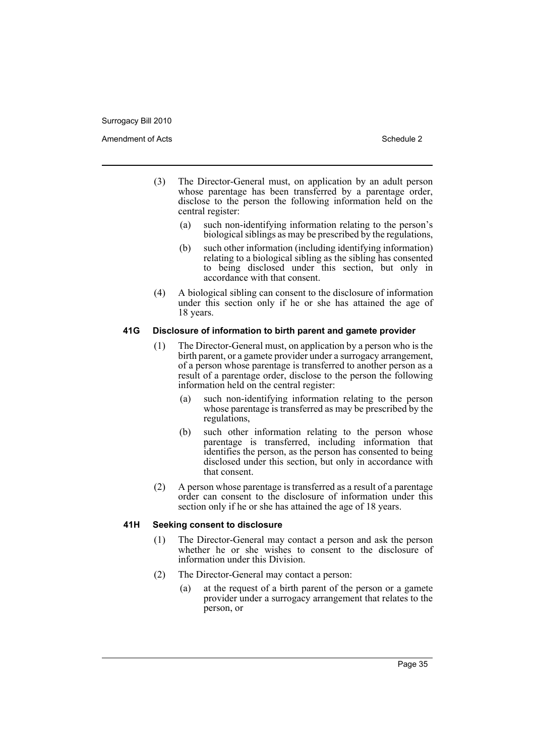- (3) The Director-General must, on application by an adult person whose parentage has been transferred by a parentage order, disclose to the person the following information held on the central register:
	- (a) such non-identifying information relating to the person's biological siblings as may be prescribed by the regulations,
	- (b) such other information (including identifying information) relating to a biological sibling as the sibling has consented to being disclosed under this section, but only in accordance with that consent.
- (4) A biological sibling can consent to the disclosure of information under this section only if he or she has attained the age of 18 years.

# **41G Disclosure of information to birth parent and gamete provider**

- (1) The Director-General must, on application by a person who is the birth parent, or a gamete provider under a surrogacy arrangement, of a person whose parentage is transferred to another person as a result of a parentage order, disclose to the person the following information held on the central register:
	- (a) such non-identifying information relating to the person whose parentage is transferred as may be prescribed by the regulations,
	- (b) such other information relating to the person whose parentage is transferred, including information that identifies the person, as the person has consented to being disclosed under this section, but only in accordance with that consent.
- (2) A person whose parentage is transferred as a result of a parentage order can consent to the disclosure of information under this section only if he or she has attained the age of 18 years.

# **41H Seeking consent to disclosure**

- (1) The Director-General may contact a person and ask the person whether he or she wishes to consent to the disclosure of information under this Division.
- (2) The Director-General may contact a person:
	- (a) at the request of a birth parent of the person or a gamete provider under a surrogacy arrangement that relates to the person, or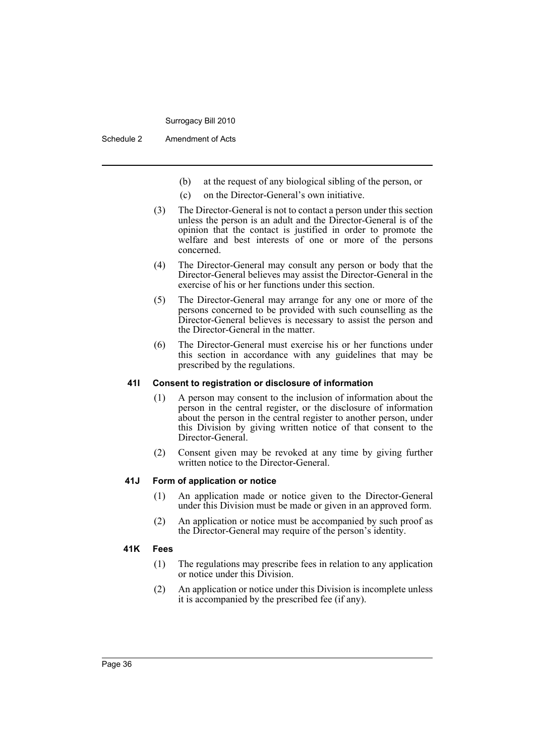Schedule 2 Amendment of Acts

- (b) at the request of any biological sibling of the person, or
- (c) on the Director-General's own initiative.
- (3) The Director-General is not to contact a person under this section unless the person is an adult and the Director-General is of the opinion that the contact is justified in order to promote the welfare and best interests of one or more of the persons concerned.
- (4) The Director-General may consult any person or body that the Director-General believes may assist the Director-General in the exercise of his or her functions under this section.
- (5) The Director-General may arrange for any one or more of the persons concerned to be provided with such counselling as the Director-General believes is necessary to assist the person and the Director-General in the matter.
- (6) The Director-General must exercise his or her functions under this section in accordance with any guidelines that may be prescribed by the regulations.

#### **41I Consent to registration or disclosure of information**

- (1) A person may consent to the inclusion of information about the person in the central register, or the disclosure of information about the person in the central register to another person, under this Division by giving written notice of that consent to the Director-General.
- (2) Consent given may be revoked at any time by giving further written notice to the Director-General.

#### **41J Form of application or notice**

- (1) An application made or notice given to the Director-General under this Division must be made or given in an approved form.
- (2) An application or notice must be accompanied by such proof as the Director-General may require of the person's identity.

#### **41K Fees**

- (1) The regulations may prescribe fees in relation to any application or notice under this Division.
- (2) An application or notice under this Division is incomplete unless it is accompanied by the prescribed fee (if any).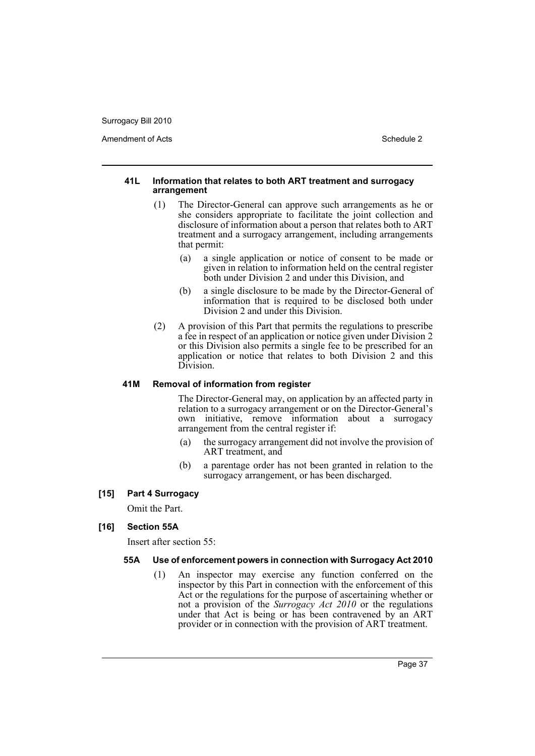Amendment of Acts **Schedule 2** and the 2

#### **41L Information that relates to both ART treatment and surrogacy arrangement**

- (1) The Director-General can approve such arrangements as he or she considers appropriate to facilitate the joint collection and disclosure of information about a person that relates both to ART treatment and a surrogacy arrangement, including arrangements that permit:
	- (a) a single application or notice of consent to be made or given in relation to information held on the central register both under Division 2 and under this Division, and
	- (b) a single disclosure to be made by the Director-General of information that is required to be disclosed both under Division 2 and under this Division.
- (2) A provision of this Part that permits the regulations to prescribe a fee in respect of an application or notice given under Division 2 or this Division also permits a single fee to be prescribed for an application or notice that relates to both Division 2 and this Division.

#### **41M Removal of information from register**

The Director-General may, on application by an affected party in relation to a surrogacy arrangement or on the Director-General's own initiative, remove information about a surrogacy arrangement from the central register if:

- (a) the surrogacy arrangement did not involve the provision of ART treatment, and
- (b) a parentage order has not been granted in relation to the surrogacy arrangement, or has been discharged.

# **[15] Part 4 Surrogacy**

Omit the Part.

# **[16] Section 55A**

Insert after section 55:

#### **55A Use of enforcement powers in connection with Surrogacy Act 2010**

(1) An inspector may exercise any function conferred on the inspector by this Part in connection with the enforcement of this Act or the regulations for the purpose of ascertaining whether or not a provision of the *Surrogacy Act 2010* or the regulations under that Act is being or has been contravened by an ART provider or in connection with the provision of ART treatment.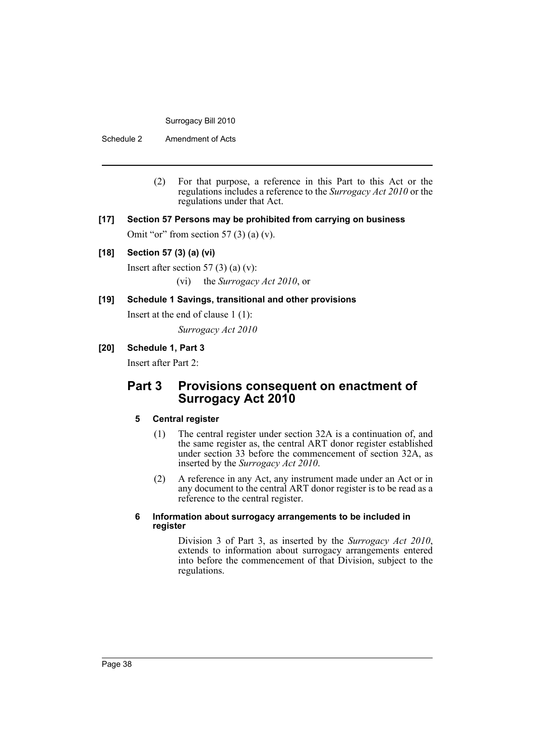Schedule 2 Amendment of Acts

- (2) For that purpose, a reference in this Part to this Act or the regulations includes a reference to the *Surrogacy Act 2010* or the regulations under that Act.
- **[17] Section 57 Persons may be prohibited from carrying on business**

Omit "or" from section 57 $(3)$  (a) (v).

# **[18] Section 57 (3) (a) (vi)**

Insert after section 57  $(3)$  (a)  $(v)$ : (vi) the *Surrogacy Act 2010*, or

# **[19] Schedule 1 Savings, transitional and other provisions**

Insert at the end of clause 1 (1):

*Surrogacy Act 2010*

# **[20] Schedule 1, Part 3**

Insert after Part 2:

# **Part 3 Provisions consequent on enactment of Surrogacy Act 2010**

# **5 Central register**

- (1) The central register under section 32A is a continuation of, and the same register as, the central ART donor register established under section 33 before the commencement of section 32A, as inserted by the *Surrogacy Act 2010*.
- (2) A reference in any Act, any instrument made under an Act or in any document to the central ART donor register is to be read as a reference to the central register.

#### **6 Information about surrogacy arrangements to be included in register**

Division 3 of Part 3, as inserted by the *Surrogacy Act 2010*, extends to information about surrogacy arrangements entered into before the commencement of that Division, subject to the regulations.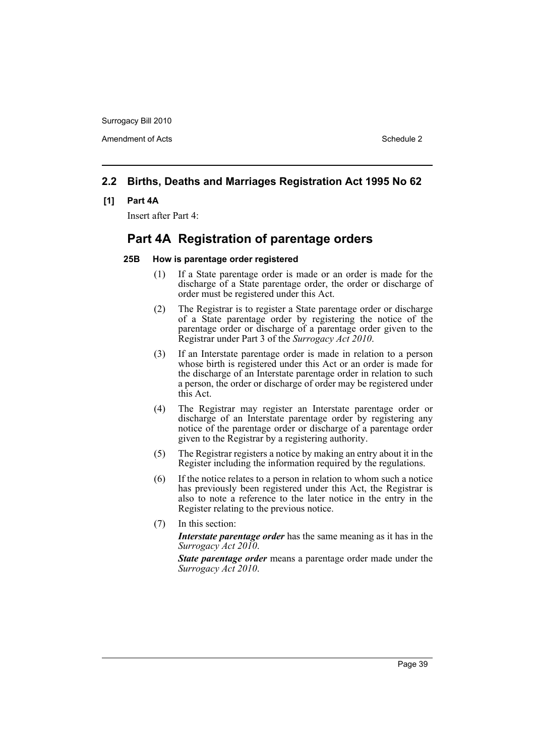Amendment of Acts **Schedule 2** and the 2

# **2.2 Births, Deaths and Marriages Registration Act 1995 No 62**

#### **[1] Part 4A**

Insert after Part 4:

# **Part 4A Registration of parentage orders**

#### **25B How is parentage order registered**

- (1) If a State parentage order is made or an order is made for the discharge of a State parentage order, the order or discharge of order must be registered under this Act.
- (2) The Registrar is to register a State parentage order or discharge of a State parentage order by registering the notice of the parentage order or discharge of a parentage order given to the Registrar under Part 3 of the *Surrogacy Act 2010*.
- (3) If an Interstate parentage order is made in relation to a person whose birth is registered under this Act or an order is made for the discharge of an Interstate parentage order in relation to such a person, the order or discharge of order may be registered under this Act.
- (4) The Registrar may register an Interstate parentage order or discharge of an Interstate parentage order by registering any notice of the parentage order or discharge of a parentage order given to the Registrar by a registering authority.
- (5) The Registrar registers a notice by making an entry about it in the Register including the information required by the regulations.
- (6) If the notice relates to a person in relation to whom such a notice has previously been registered under this Act, the Registrar is also to note a reference to the later notice in the entry in the Register relating to the previous notice.
- (7) In this section:

*Interstate parentage order* has the same meaning as it has in the *Surrogacy Act 2010*.

*State parentage order* means a parentage order made under the *Surrogacy Act 2010*.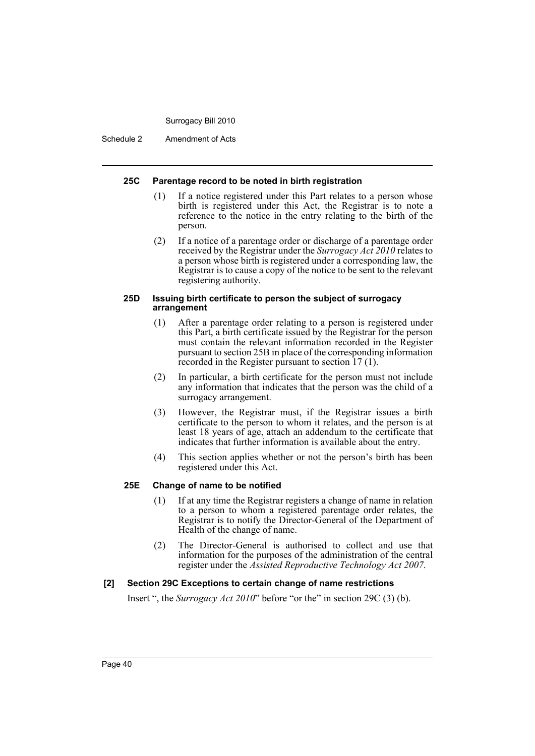Schedule 2 Amendment of Acts

#### **25C Parentage record to be noted in birth registration**

- (1) If a notice registered under this Part relates to a person whose birth is registered under this Act, the Registrar is to note a reference to the notice in the entry relating to the birth of the person.
- (2) If a notice of a parentage order or discharge of a parentage order received by the Registrar under the *Surrogacy Act 2010* relates to a person whose birth is registered under a corresponding law, the Registrar is to cause a copy of the notice to be sent to the relevant registering authority.

#### **25D Issuing birth certificate to person the subject of surrogacy arrangement**

- (1) After a parentage order relating to a person is registered under this Part, a birth certificate issued by the Registrar for the person must contain the relevant information recorded in the Register pursuant to section 25B in place of the corresponding information recorded in the Register pursuant to section 17 (1).
- (2) In particular, a birth certificate for the person must not include any information that indicates that the person was the child of a surrogacy arrangement.
- (3) However, the Registrar must, if the Registrar issues a birth certificate to the person to whom it relates, and the person is at least 18 years of age, attach an addendum to the certificate that indicates that further information is available about the entry.
- (4) This section applies whether or not the person's birth has been registered under this Act.

#### **25E Change of name to be notified**

- (1) If at any time the Registrar registers a change of name in relation to a person to whom a registered parentage order relates, the Registrar is to notify the Director-General of the Department of Health of the change of name.
- (2) The Director-General is authorised to collect and use that information for the purposes of the administration of the central register under the *Assisted Reproductive Technology Act 2007*.

# **[2] Section 29C Exceptions to certain change of name restrictions**

Insert ", the *Surrogacy Act 2010*" before "or the" in section 29C (3) (b).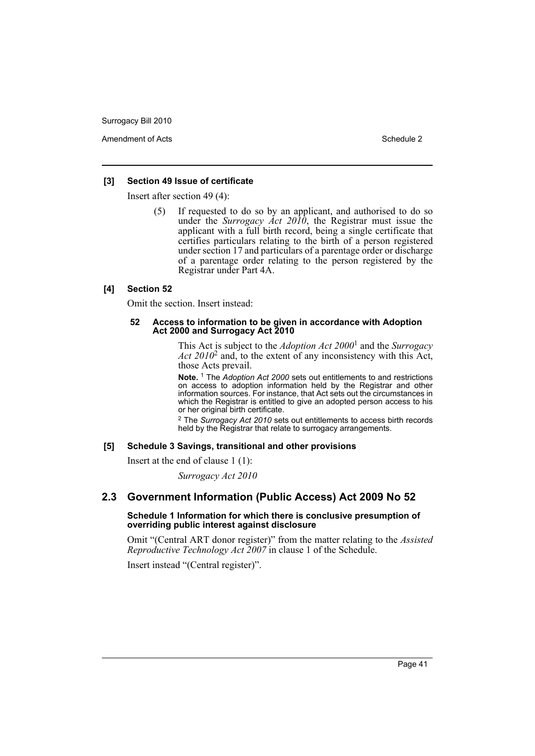Amendment of Acts **Schedule 2** and 2 and 2 and 2 and 2 and 2 and 2 and 2 and 2 and 2 and 2 and 2 and 2 and 2 and 2 and 2 and 2 and 2 and 2 and 2 and 2 and 2 and 2 and 2 and 2 and 2 and 2 and 2 and 2 and 2 and 2 and 2 and 2

## **[3] Section 49 Issue of certificate**

Insert after section 49 (4):

(5) If requested to do so by an applicant, and authorised to do so under the *Surrogacy Act 2010*, the Registrar must issue the applicant with a full birth record, being a single certificate that certifies particulars relating to the birth of a person registered under section 17 and particulars of a parentage order or discharge of a parentage order relating to the person registered by the Registrar under Part 4A.

#### **[4] Section 52**

Omit the section. Insert instead:

#### **52 Access to information to be given in accordance with Adoption Act 2000 and Surrogacy Act 2010**

This Act is subject to the *Adoption Act 2000*<sup>1</sup> and the *Surrogacy Act 2010*<sup>2</sup> and, to the extent of any inconsistency with this Act, those Acts prevail.

**Note.** 1 The *Adoption Act 2000* sets out entitlements to and restrictions on access to adoption information held by the Registrar and other information sources. For instance, that Act sets out the circumstances in which the Registrar is entitled to give an adopted person access to his or her original birth certificate.

2 The *Surrogacy Act 2010* sets out entitlements to access birth records held by the Registrar that relate to surrogacy arrangements.

#### **[5] Schedule 3 Savings, transitional and other provisions**

Insert at the end of clause 1 (1):

*Surrogacy Act 2010*

# **2.3 Government Information (Public Access) Act 2009 No 52**

#### **Schedule 1 Information for which there is conclusive presumption of overriding public interest against disclosure**

Omit "(Central ART donor register)" from the matter relating to the *Assisted Reproductive Technology Act 2007* in clause 1 of the Schedule.

Insert instead "(Central register)".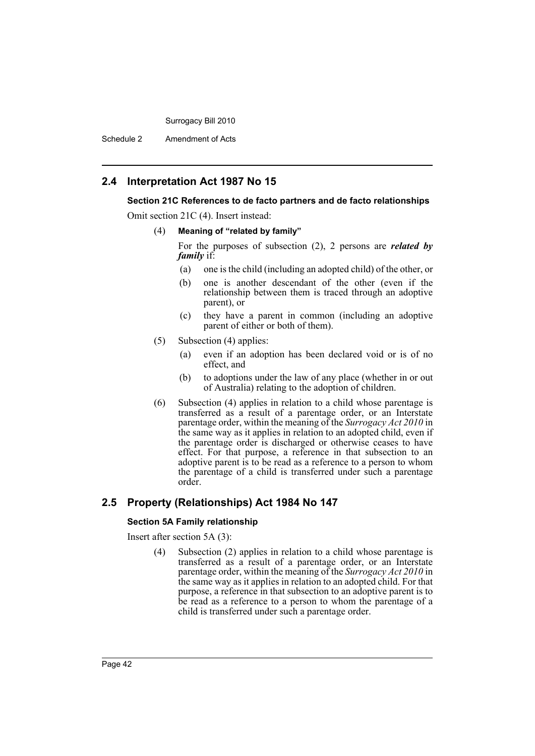Schedule 2 Amendment of Acts

# **2.4 Interpretation Act 1987 No 15**

#### **Section 21C References to de facto partners and de facto relationships**

Omit section 21C (4). Insert instead:

#### (4) **Meaning of "related by family"**

For the purposes of subsection (2), 2 persons are *related by family* if:

- (a) one is the child (including an adopted child) of the other, or
- (b) one is another descendant of the other (even if the relationship between them is traced through an adoptive parent), or
- (c) they have a parent in common (including an adoptive parent of either or both of them).
- (5) Subsection (4) applies:
	- (a) even if an adoption has been declared void or is of no effect, and
	- (b) to adoptions under the law of any place (whether in or out of Australia) relating to the adoption of children.
- (6) Subsection (4) applies in relation to a child whose parentage is transferred as a result of a parentage order, or an Interstate parentage order, within the meaning of the *Surrogacy Act 2010* in the same way as it applies in relation to an adopted child, even if the parentage order is discharged or otherwise ceases to have effect. For that purpose, a reference in that subsection to an adoptive parent is to be read as a reference to a person to whom the parentage of a child is transferred under such a parentage order.

# **2.5 Property (Relationships) Act 1984 No 147**

#### **Section 5A Family relationship**

Insert after section 5A (3):

(4) Subsection (2) applies in relation to a child whose parentage is transferred as a result of a parentage order, or an Interstate parentage order, within the meaning of the *Surrogacy Act 2010* in the same way as it applies in relation to an adopted child. For that purpose, a reference in that subsection to an adoptive parent is to be read as a reference to a person to whom the parentage of a child is transferred under such a parentage order.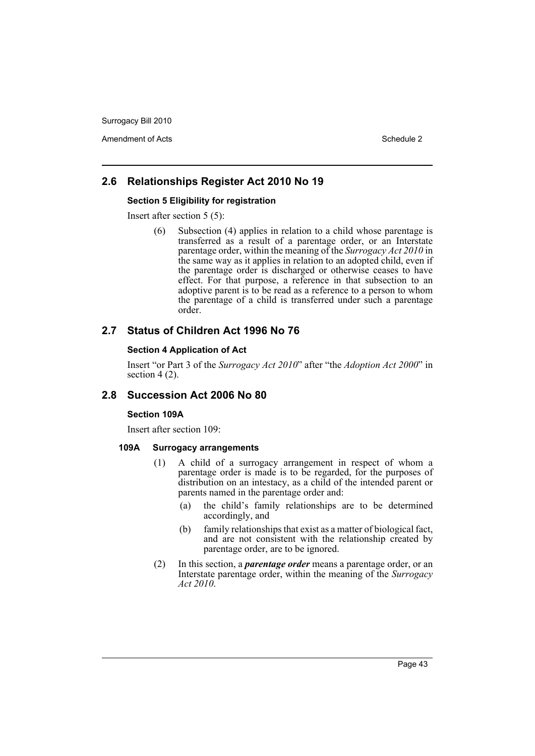Amendment of Acts **Schedule 2** and 2 and 2 and 2 and 2 and 2 and 2 and 2 and 2 and 2 and 2 and 2 and 2 and 2 and 2 and 2 and 2 and 2 and 2 and 2 and 2 and 2 and 2 and 2 and 2 and 2 and 2 and 2 and 2 and 2 and 2 and 2 and 2

# **2.6 Relationships Register Act 2010 No 19**

#### **Section 5 Eligibility for registration**

Insert after section 5 (5):

(6) Subsection (4) applies in relation to a child whose parentage is transferred as a result of a parentage order, or an Interstate parentage order, within the meaning of the *Surrogacy Act 2010* in the same way as it applies in relation to an adopted child, even if the parentage order is discharged or otherwise ceases to have effect. For that purpose, a reference in that subsection to an adoptive parent is to be read as a reference to a person to whom the parentage of a child is transferred under such a parentage order.

# **2.7 Status of Children Act 1996 No 76**

# **Section 4 Application of Act**

Insert "or Part 3 of the *Surrogacy Act 2010*" after "the *Adoption Act 2000*" in section 4 (2).

# **2.8 Succession Act 2006 No 80**

#### **Section 109A**

Insert after section 109:

#### **109A Surrogacy arrangements**

- (1) A child of a surrogacy arrangement in respect of whom a parentage order is made is to be regarded, for the purposes of distribution on an intestacy, as a child of the intended parent or parents named in the parentage order and:
	- (a) the child's family relationships are to be determined accordingly, and
	- (b) family relationships that exist as a matter of biological fact, and are not consistent with the relationship created by parentage order, are to be ignored.
- (2) In this section, a *parentage order* means a parentage order, or an Interstate parentage order, within the meaning of the *Surrogacy Act 2010*.